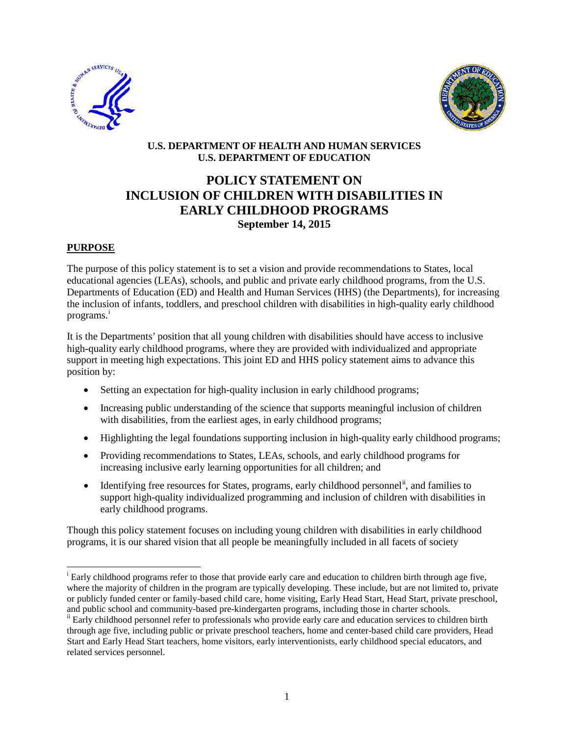



# **U.S. DEPARTMENT OF HEALTH AND HUMAN SERVICES U.S. DEPARTMENT OF EDUCATION**

# **POLICY STATEMENT ON INCLUSION OF CHILDREN WITH DISABILITIES IN EARLY CHILDHOOD PROGRAMS September 14, 2015**

# **PURPOSE**

The purpose of this policy statement is to set a vision and provide recommendations to States, local educational agencies (LEAs), schools, and public and private early childhood programs, from the U.S. Departments of Education (ED) and Health and Human Services (HHS) (the Departments), for increasing the inclusion of infants, toddlers, and preschool children with disabilities in high-quality early childhood programs.<sup>[i](#page-0-0)</sup>

It is the Departments' position that all young children with disabilities should have access to inclusive high-quality early childhood programs, where they are provided with individualized and appropriate support in meeting high expectations. This joint ED and HHS policy statement aims to advance this position by:

- Setting an expectation for high-quality inclusion in early childhood programs;
- Increasing public understanding of the science that supports meaningful inclusion of children with disabilities, from the earliest ages, in early childhood programs;
- Highlighting the legal foundations supporting inclusion in high-quality early childhood programs;
- Providing recommendations to States, LEAs, schools, and early childhood programs for increasing inclusive early learning opportunities for all children; and
- Identifying free resources for States, programs, early childhood personnel<sup>ii</sup>, and families to support high-quality individualized programming and inclusion of children with disabilities in early childhood programs.

Though this policy statement focuses on including young children with disabilities in early childhood programs, it is our shared vision that all people be meaningfully included in all facets of society

<span id="page-0-0"></span><sup>&</sup>lt;sup>i</sup> Early childhood programs refer to those that provide early care and education to children birth through age five, where the majority of children in the program are typically developing. These include, but are not limited to, private or publicly funded center or family-based child care, home visiting, Early Head Start, Head Start, private preschool, and public school and community-based pre-kindergarten programs, including those in charter schools.

<span id="page-0-1"></span><sup>&</sup>lt;sup>ii</sup> Early childhood personnel refer to professionals who provide early care and education services to children birth through age five, including public or private preschool teachers, home and center-based child care providers, Head Start and Early Head Start teachers, home visitors, early interventionists, early childhood special educators, and related services personnel.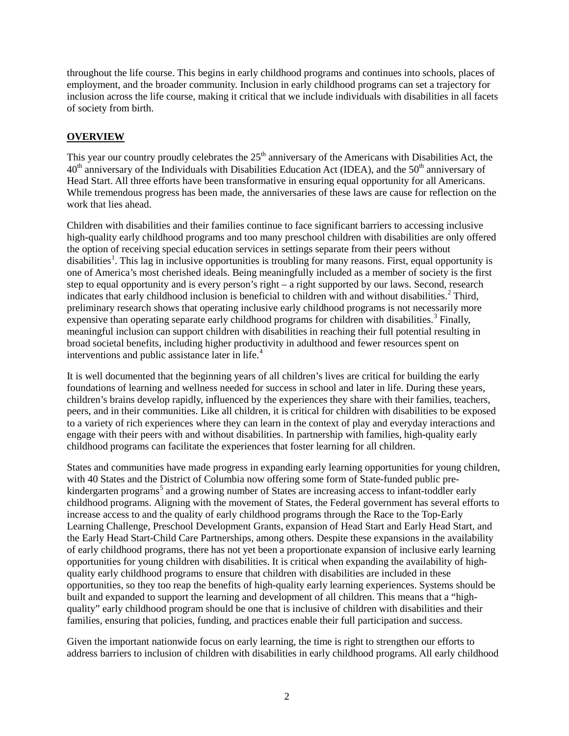throughout the life course. This begins in early childhood programs and continues into schools, places of employment, and the broader community. Inclusion in early childhood programs can set a trajectory for inclusion across the life course, making it critical that we include individuals with disabilities in all facets of society from birth.

#### **OVERVIEW**

This year our country proudly celebrates the  $25<sup>th</sup>$  anniversary of the Americans with Disabilities Act, the  $40<sup>th</sup>$  anniversary of the Individuals with Disabilities Education Act (IDEA), and the  $50<sup>th</sup>$  anniversary of Head Start. All three efforts have been transformative in ensuring equal opportunity for all Americans. While tremendous progress has been made, the anniversaries of these laws are cause for reflection on the work that lies ahead.

Children with disabilities and their families continue to face significant barriers to accessing inclusive high-quality early childhood programs and too many preschool children with disabilities are only offered the option of receiving special education services in settings separate from their peers without disabilities<sup>[1](#page-35-0)</sup>. This lag in inclusive opportunities is troubling for many reasons. First, equal opportunity is one of America's most cherished ideals. Being meaningfully included as a member of society is the first step to equal opportunity and is every person's right – a right supported by our laws. Second, research indicates that early childhood inclusion is beneficial to children with and without disabilities.<sup>[2](#page-35-1)</sup> Third, preliminary research shows that operating inclusive early childhood programs is not necessarily more expensive than operating separate early childhood programs for children with disabilities.<sup>[3](#page-35-2)</sup> Finally, meaningful inclusion can support children with disabilities in reaching their full potential resulting in broad societal benefits, including higher productivity in adulthood and fewer resources spent on interventions and public assistance later in life.<sup>[4](#page-35-3)</sup>

It is well documented that the beginning years of all children's lives are critical for building the early foundations of learning and wellness needed for success in school and later in life. During these years, children's brains develop rapidly, influenced by the experiences they share with their families, teachers, peers, and in their communities. Like all children, it is critical for children with disabilities to be exposed to a variety of rich experiences where they can learn in the context of play and everyday interactions and engage with their peers with and without disabilities. In partnership with families, high-quality early childhood programs can facilitate the experiences that foster learning for all children.

States and communities have made progress in expanding early learning opportunities for young children, with 40 States and the District of Columbia now offering some form of State-funded public pre-kindergarten programs<sup>[5](#page-35-4)</sup> and a growing number of States are increasing access to infant-toddler early childhood programs. Aligning with the movement of States, the Federal government has several efforts to increase access to and the quality of early childhood programs through the Race to the Top-Early Learning Challenge, Preschool Development Grants, expansion of Head Start and Early Head Start, and the Early Head Start-Child Care Partnerships, among others. Despite these expansions in the availability of early childhood programs, there has not yet been a proportionate expansion of inclusive early learning opportunities for young children with disabilities. It is critical when expanding the availability of highquality early childhood programs to ensure that children with disabilities are included in these opportunities, so they too reap the benefits of high-quality early learning experiences. Systems should be built and expanded to support the learning and development of all children. This means that a "highquality" early childhood program should be one that is inclusive of children with disabilities and their families, ensuring that policies, funding, and practices enable their full participation and success.

Given the important nationwide focus on early learning, the time is right to strengthen our efforts to address barriers to inclusion of children with disabilities in early childhood programs. All early childhood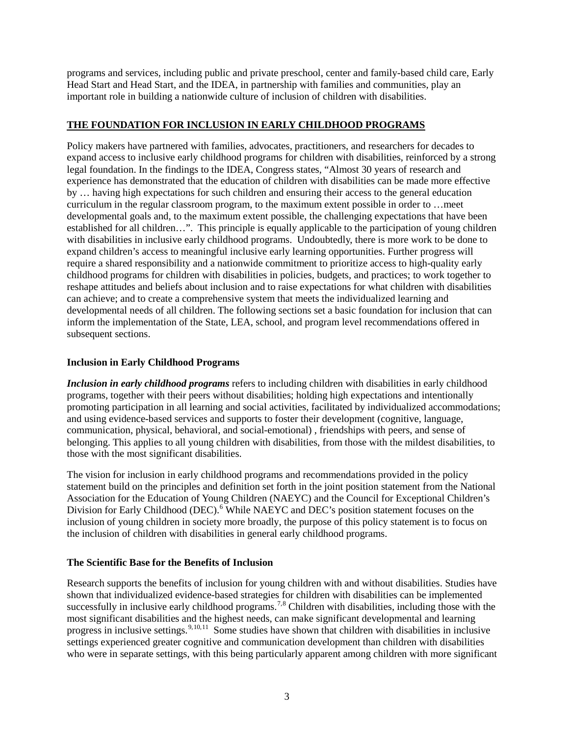programs and services, including public and private preschool, center and family-based child care, Early Head Start and Head Start, and the IDEA, in partnership with families and communities, play an important role in building a nationwide culture of inclusion of children with disabilities.

# **THE FOUNDATION FOR INCLUSION IN EARLY CHILDHOOD PROGRAMS**

Policy makers have partnered with families, advocates, practitioners, and researchers for decades to expand access to inclusive early childhood programs for children with disabilities, reinforced by a strong legal foundation. In the findings to the IDEA, Congress states, "Almost 30 years of research and experience has demonstrated that the education of children with disabilities can be made more effective by … having high expectations for such children and ensuring their access to the general education curriculum in the regular classroom program, to the maximum extent possible in order to …meet developmental goals and, to the maximum extent possible, the challenging expectations that have been established for all children…". This principle is equally applicable to the participation of young children with disabilities in inclusive early childhood programs. Undoubtedly, there is more work to be done to expand children's access to meaningful inclusive early learning opportunities. Further progress will require a shared responsibility and a nationwide commitment to prioritize access to high-quality early childhood programs for children with disabilities in policies, budgets, and practices; to work together to reshape attitudes and beliefs about inclusion and to raise expectations for what children with disabilities can achieve; and to create a comprehensive system that meets the individualized learning and developmental needs of all children. The following sections set a basic foundation for inclusion that can inform the implementation of the State, LEA, school, and program level recommendations offered in subsequent sections.

#### **Inclusion in Early Childhood Programs**

*Inclusion in early childhood programs* refers to including children with disabilities in early childhood programs, together with their peers without disabilities; holding high expectations and intentionally promoting participation in all learning and social activities, facilitated by individualized accommodations; and using evidence-based services and supports to foster their development (cognitive, language, communication, physical, behavioral, and social-emotional) , friendships with peers, and sense of belonging. This applies to all young children with disabilities, from those with the mildest disabilities, to those with the most significant disabilities.

The vision for inclusion in early childhood programs and recommendations provided in the policy statement build on the principles and definition set forth in the joint position statement from the National Association for the Education of Young Children (NAEYC) and the Council for Exceptional Children's Division for Early Childhood (DEC).<sup>[6](#page-35-5)</sup> While NAEYC and DEC's position statement focuses on the inclusion of young children in society more broadly, the purpose of this policy statement is to focus on the inclusion of children with disabilities in general early childhood programs.

#### **The Scientific Base for the Benefits of Inclusion**

Research supports the benefits of inclusion for young children with and without disabilities. Studies have shown that individualized evidence-based strategies for children with disabilities can be implemented successfully in inclusive early childhood programs.<sup>[7](#page-35-6),[8](#page-35-7)</sup> Children with disabilities, including those with the most significant disabilities and the highest needs, can make significant developmental and learning progress in inclusive settings.<sup>[9](#page-35-8),[10](#page-35-9),11</sup> Some studies have shown that children with disabilities in inclusive settings experienced greater cognitive and communication development than children with disabilities who were in separate settings, with this being particularly apparent among children with more significant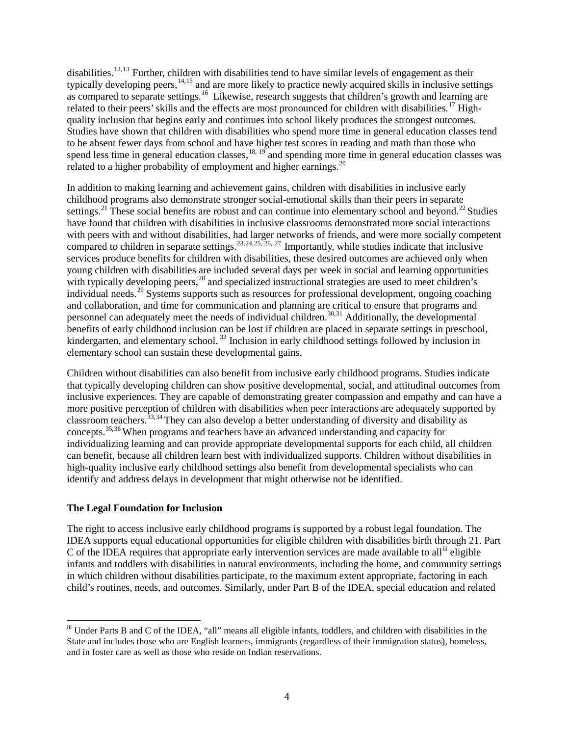disabilities.<sup>[12,](#page-36-0)[13](#page-36-1)</sup> Further, children with disabilities tend to have similar levels of engagement as their typically developing peers, <sup>[14](#page-36-2),[15](#page-36-3)</sup> and are more likely to practice newly acquired skills in inclusive settings as compared to separate settings.<sup>16</sup> Likewise, research suggests that children's growth and learning are related to their peers' skills and the effects are most pronounced for children with disabilities.<sup>[17](#page-36-5)</sup> Highquality inclusion that begins early and continues into school likely produces the strongest outcomes. Studies have shown that children with disabilities who spend more time in general education classes tend to be absent fewer days from school and have higher test scores in reading and math than those who spend less time in general education classes,  $18, 19$  $18, 19$  and spending more time in general education classes was related to a higher probability of employment and higher earnings.<sup>[20](#page-36-8)</sup>

In addition to making learning and achievement gains, children with disabilities in inclusive early childhood programs also demonstrate stronger social-emotional skills than their peers in separate settings.<sup>[21](#page-36-9)</sup> These social benefits are robust and can continue into elementary school and beyond.<sup>[22](#page-36-10)</sup> Studies have found that children with disabilities in inclusive classrooms demonstrated more social interactions with peers with and without disabilities, had larger networks of friends, and were more socially competent compared to children in separate settings.  $23,24,25,26,27$  $23,24,25,26,27$  $23,24,25,26,27$  $23,24,25,26,27$  $23,24,25,26,27$  $23,24,25,26,27$  $23,24,25,26,27$  Importantly, while studies indicate that inclusive services produce benefits for children with disabilities, these desired outcomes are achieved only when young children with disabilities are included several days per week in social and learning opportunities with typically developing peers,<sup>[28](#page-36-16)</sup> and specialized instructional strategies are used to meet children's individual needs.<sup>[29](#page-36-17)</sup> Systems supports such as resources for professional development, ongoing coaching and collaboration, and time for communication and planning are critical to ensure that programs and personnel can adequately meet the needs of individual children.<sup>[30,](#page-36-18)[31](#page-36-19)</sup> Additionally, the developmental benefits of early childhood inclusion can be lost if children are placed in separate settings in preschool, kindergarten, and elementary school.<sup>32</sup> Inclusion in early childhood settings followed by inclusion in elementary school can sustain these developmental gains.

Children without disabilities can also benefit from inclusive early childhood programs. Studies indicate that typically developing children can show positive developmental, social, and attitudinal outcomes from inclusive experiences. They are capable of demonstrating greater compassion and empathy and can have a more positive perception of children with disabilities when peer interactions are adequately supported by classroom teachers.<sup>[33,](#page-36-21)[34](#page-36-22)</sup> They can also develop a better understanding of diversity and disability as concepts.[35,](#page-36-23)[36](#page-36-24) When programs and teachers have an advanced understanding and capacity for individualizing learning and can provide appropriate developmental supports for each child, all children can benefit, because all children learn best with individualized supports. Children without disabilities in high-quality inclusive early childhood settings also benefit from developmental specialists who can identify and address delays in development that might otherwise not be identified.

# **The Legal Foundation for Inclusion**

The right to access inclusive early childhood programs is supported by a robust legal foundation. The IDEA supports equal educational opportunities for eligible children with disabilities birth through 21. Part C of the IDEA requires that appropriate early intervention services are made available to all<sup>[iii](#page-3-0)</sup> eligible infants and toddlers with disabilities in natural environments, including the home, and community settings in which children without disabilities participate, to the maximum extent appropriate, factoring in each child's routines, needs, and outcomes. Similarly, under Part B of the IDEA, special education and related

<span id="page-3-0"></span>iii Under Parts B and C of the IDEA, "all" means all eligible infants, toddlers, and children with disabilities in the State and includes those who are English learners, immigrants (regardless of their immigration status), homeless, and in foster care as well as those who reside on Indian reservations.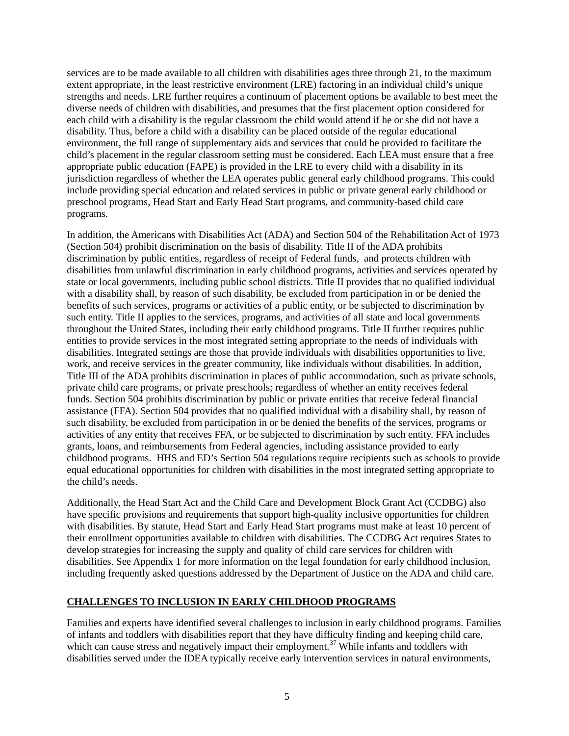services are to be made available to all children with disabilities ages three through 21, to the maximum extent appropriate, in the least restrictive environment (LRE) factoring in an individual child's unique strengths and needs. LRE further requires a continuum of placement options be available to best meet the diverse needs of children with disabilities, and presumes that the first placement option considered for each child with a disability is the regular classroom the child would attend if he or she did not have a disability. Thus, before a child with a disability can be placed outside of the regular educational environment, the full range of supplementary aids and services that could be provided to facilitate the child's placement in the regular classroom setting must be considered. Each LEA must ensure that a free appropriate public education (FAPE) is provided in the LRE to every child with a disability in its jurisdiction regardless of whether the LEA operates public general early childhood programs. This could include providing special education and related services in public or private general early childhood or preschool programs, Head Start and Early Head Start programs, and community-based child care programs.

In addition, the Americans with Disabilities Act (ADA) and Section 504 of the Rehabilitation Act of 1973 (Section 504) prohibit discrimination on the basis of disability. Title II of the ADA prohibits discrimination by public entities, regardless of receipt of Federal funds, and protects children with disabilities from unlawful discrimination in early childhood programs, activities and services operated by state or local governments, including public school districts. Title II provides that no qualified individual with a disability shall, by reason of such disability, be excluded from participation in or be denied the benefits of such services, programs or activities of a public entity, or be subjected to discrimination by such entity. Title II applies to the services, programs, and activities of all state and local governments throughout the United States, including their early childhood programs. Title II further requires public entities to provide services in the most integrated setting appropriate to the needs of individuals with disabilities. Integrated settings are those that provide individuals with disabilities opportunities to live, work, and receive services in the greater community, like individuals without disabilities. In addition, Title III of the ADA prohibits discrimination in places of public accommodation, such as private schools, private child care programs, or private preschools; regardless of whether an entity receives federal funds. Section 504 prohibits discrimination by public or private entities that receive federal financial assistance (FFA). Section 504 provides that no qualified individual with a disability shall, by reason of such disability, be excluded from participation in or be denied the benefits of the services, programs or activities of any entity that receives FFA, or be subjected to discrimination by such entity. FFA includes grants, loans, and reimbursements from Federal agencies, including assistance provided to early childhood programs. HHS and ED's Section 504 regulations require recipients such as schools to provide equal educational opportunities for children with disabilities in the most integrated setting appropriate to the child's needs.

Additionally, the Head Start Act and the Child Care and Development Block Grant Act (CCDBG) also have specific provisions and requirements that support high-quality inclusive opportunities for children with disabilities. By statute, Head Start and Early Head Start programs must make at least 10 percent of their enrollment opportunities available to children with disabilities. The CCDBG Act requires States to develop strategies for increasing the supply and quality of child care services for children with disabilities. See Appendix 1 for more information on the legal foundation for early childhood inclusion, including frequently asked questions addressed by the Department of Justice on the ADA and child care.

# **CHALLENGES TO INCLUSION IN EARLY CHILDHOOD PROGRAMS**

Families and experts have identified several challenges to inclusion in early childhood programs. Families of infants and toddlers with disabilities report that they have difficulty finding and keeping child care, which can cause stress and negatively impact their employment.<sup>[37](#page-36-25)</sup> While infants and toddlers with disabilities served under the IDEA typically receive early intervention services in natural environments,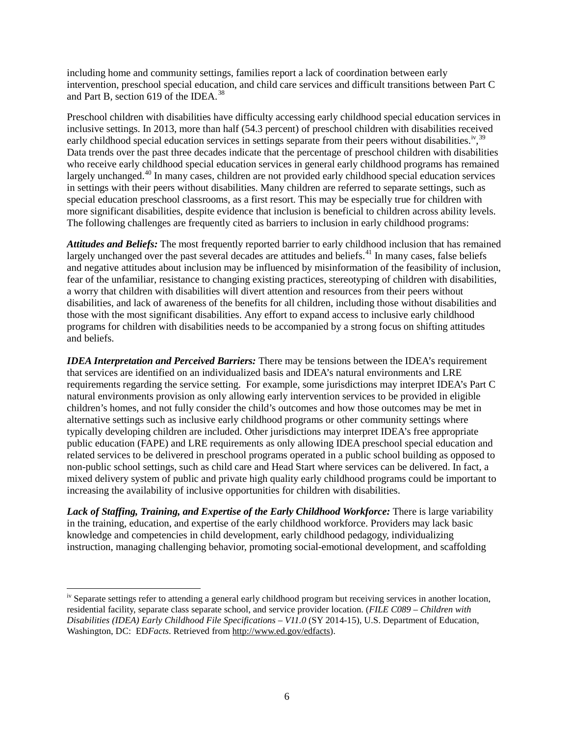including home and community settings, families report a lack of coordination between early intervention, preschool special education, and child care services and difficult transitions between Part C and Part B, section 619 of the IDEA.<sup>[38](#page-37-0)</sup>

Preschool children with disabilities have difficulty accessing early childhood special education services in inclusive settings. In 2013, more than half (54.3 percent) of preschool children with disabilities received early childhood special education services in settings separate from their peers without disabilities.<sup>[iv](#page-5-0), [39](#page-37-1)</sup> Data trends over the past three decades indicate that the percentage of preschool children with disabilities who receive early childhood special education services in general early childhood programs has remained largely unchanged.<sup>[40](#page-37-2)</sup> In many cases, children are not provided early childhood special education services in settings with their peers without disabilities. Many children are referred to separate settings, such as special education preschool classrooms, as a first resort. This may be especially true for children with more significant disabilities, despite evidence that inclusion is beneficial to children across ability levels. The following challenges are frequently cited as barriers to inclusion in early childhood programs:

*Attitudes and Beliefs:* The most frequently reported barrier to early childhood inclusion that has remained largely unchanged over the past several decades are attitudes and beliefs.<sup>[41](#page-37-3)</sup> In many cases, false beliefs and negative attitudes about inclusion may be influenced by misinformation of the feasibility of inclusion, fear of the unfamiliar, resistance to changing existing practices, stereotyping of children with disabilities, a worry that children with disabilities will divert attention and resources from their peers without disabilities, and lack of awareness of the benefits for all children, including those without disabilities and those with the most significant disabilities. Any effort to expand access to inclusive early childhood programs for children with disabilities needs to be accompanied by a strong focus on shifting attitudes and beliefs.

*IDEA Interpretation and Perceived Barriers:* There may be tensions between the IDEA's requirement that services are identified on an individualized basis and IDEA's natural environments and LRE requirements regarding the service setting. For example, some jurisdictions may interpret IDEA's Part C natural environments provision as only allowing early intervention services to be provided in eligible children's homes, and not fully consider the child's outcomes and how those outcomes may be met in alternative settings such as inclusive early childhood programs or other community settings where typically developing children are included. Other jurisdictions may interpret IDEA's free appropriate public education (FAPE) and LRE requirements as only allowing IDEA preschool special education and related services to be delivered in preschool programs operated in a public school building as opposed to non-public school settings, such as child care and Head Start where services can be delivered. In fact, a mixed delivery system of public and private high quality early childhood programs could be important to increasing the availability of inclusive opportunities for children with disabilities.

Lack of Staffing, Training, and Expertise of the Early Childhood Workforce: There is large variability in the training, education, and expertise of the early childhood workforce. Providers may lack basic knowledge and competencies in child development, early childhood pedagogy, individualizing instruction, managing challenging behavior, promoting social-emotional development, and scaffolding

 $\overline{a}$ 

<span id="page-5-0"></span>iv Separate settings refer to attending a general early childhood program but receiving services in another location, residential facility, separate class separate school, and service provider location. (*FILE C089 – Children with Disabilities (IDEA) Early Childhood File Specifications – V11.0* (SY 2014-15), U.S. Department of Education, Washington, DC: ED*Facts*. Retrieved from [http://www.ed.gov/edfacts\)](http://www.ed.gov/edfacts).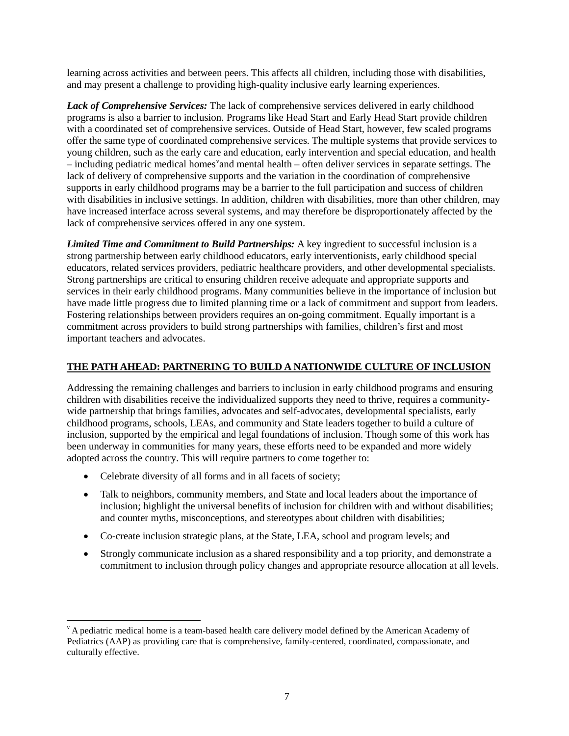learning across activities and between peers. This affects all children, including those with disabilities, and may present a challenge to providing high-quality inclusive early learning experiences.

*Lack of Comprehensive Services:* The lack of comprehensive services delivered in early childhood programs is also a barrier to inclusion. Programs like Head Start and Early Head Start provide children with a coordinated set of comprehensive services. Outside of Head Start, however, few scaled programs offer the same type of coordinated comprehensive services. The multiple systems that provide services to young children, such as the early care and education, early intervention and special education, and health  $-$  including pediatric medical homes and mental health  $-$  often deli[v](#page-6-0)er services in separate settings. The lack of delivery of comprehensive supports and the variation in the coordination of comprehensive supports in early childhood programs may be a barrier to the full participation and success of children with disabilities in inclusive settings. In addition, children with disabilities, more than other children, may have increased interface across several systems, and may therefore be disproportionately affected by the lack of comprehensive services offered in any one system.

*Limited Time and Commitment to Build Partnerships:* A key ingredient to successful inclusion is a strong partnership between early childhood educators, early interventionists, early childhood special educators, related services providers, pediatric healthcare providers, and other developmental specialists. Strong partnerships are critical to ensuring children receive adequate and appropriate supports and services in their early childhood programs. Many communities believe in the importance of inclusion but have made little progress due to limited planning time or a lack of commitment and support from leaders. Fostering relationships between providers requires an on-going commitment. Equally important is a commitment across providers to build strong partnerships with families, children's first and most important teachers and advocates.

# **THE PATH AHEAD: PARTNERING TO BUILD A NATIONWIDE CULTURE OF INCLUSION**

Addressing the remaining challenges and barriers to inclusion in early childhood programs and ensuring children with disabilities receive the individualized supports they need to thrive, requires a communitywide partnership that brings families, advocates and self-advocates, developmental specialists, early childhood programs, schools, LEAs, and community and State leaders together to build a culture of inclusion, supported by the empirical and legal foundations of inclusion. Though some of this work has been underway in communities for many years, these efforts need to be expanded and more widely adopted across the country. This will require partners to come together to:

- Celebrate diversity of all forms and in all facets of society;
- Talk to neighbors, community members, and State and local leaders about the importance of inclusion; highlight the universal benefits of inclusion for children with and without disabilities; and counter myths, misconceptions, and stereotypes about children with disabilities;
- Co-create inclusion strategic plans, at the State, LEA, school and program levels; and
- Strongly communicate inclusion as a shared responsibility and a top priority, and demonstrate a commitment to inclusion through policy changes and appropriate resource allocation at all levels.

<span id="page-6-0"></span> $\gamma$  A pediatric medical home is a team-based health care delivery model defined by the American Academy of Pediatrics (AAP) as providing care that is comprehensive, family-centered, coordinated, compassionate, and culturally effective.  $\overline{a}$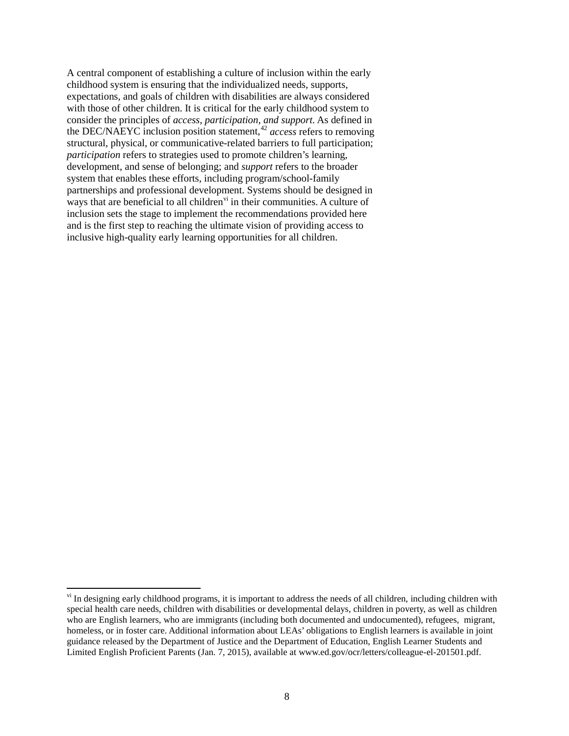A central component of establishing a culture of inclusion within the early childhood system is ensuring that the individualized needs, supports, expectations, and goals of children with disabilities are always considered with those of other children. It is critical for the early childhood system to consider the principles of *access, participation, and support.* As defined in the DEC/NAEYC inclusion position statement, [42](#page-37-4) *access* refers to removing structural, physical, or communicative-related barriers to full participation; *participation* refers to strategies used to promote children's learning, development, and sense of belonging; and *support* refers to the broader system that enables these efforts, including program/school-family partnerships and professional development. Systems should be designed in ways that are beneficial to all children<sup>[vi](#page-7-0)</sup> in their communities. A culture of inclusion sets the stage to implement the recommendations provided here and is the first step to reaching the ultimate vision of providing access to inclusive high-quality early learning opportunities for all children.

<span id="page-7-0"></span><sup>&</sup>lt;sup>vi</sup> In designing early childhood programs, it is important to address the needs of all children, including children with special health care needs, children with disabilities or developmental delays, children in poverty, as well as children who are English learners, who are immigrants (including both documented and undocumented), refugees, migrant, homeless, or in foster care. Additional information about LEAs' obligations to English learners is available in joint guidance released by the Department of Justice and the Department of Education, English Learner Students and Limited English Proficient Parents (Jan. 7, 2015), available at www.ed.gov/ocr/letters/colleague-el-201501.pdf.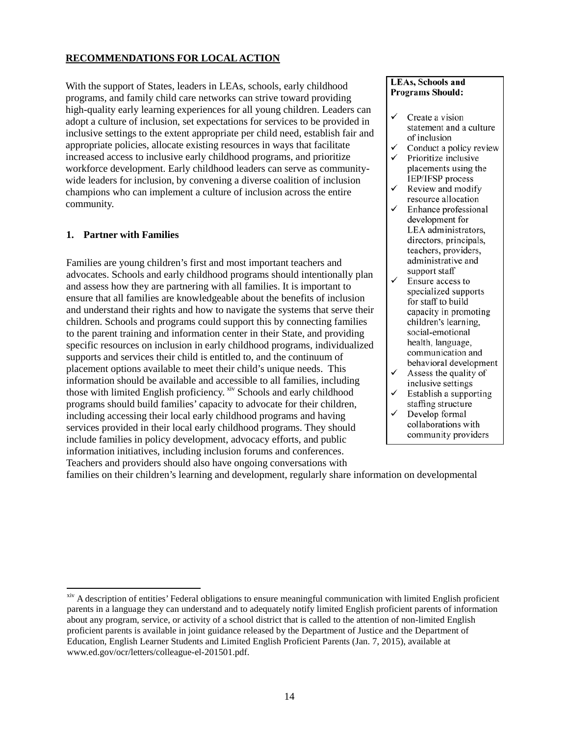#### **RECOMMENDATIONS FOR LOCAL ACTION**

With the support of States, leaders in LEAs, schools, early childhood programs, and family child care networks can strive toward providing high-quality early learning experiences for all young children. Leaders can adopt a culture of inclusion, set expectations for services to be provided in inclusive settings to the extent appropriate per child need, establish fair and appropriate policies, allocate existing resources in ways that facilitate increased access to inclusive early childhood programs, and prioritize workforce development. Early childhood leaders can serve as communitywide leaders for inclusion, by convening a diverse coalition of inclusion champions who can implement a culture of inclusion across the entire community.

#### **1. Partner with Families**

Families are young children's first and most important teachers and advocates. Schools and early childhood programs should intentionally plan and assess how they are partnering with all families. It is important to ensure that all families are knowledgeable about the benefits of inclusion and understand their rights and how to navigate the systems that serve their children. Schools and programs could support this by connecting families to the parent training and information center in their State, and providing specific resources on inclusion in early childhood programs, individualized supports and services their child is entitled to, and the continuum of placement options available to meet their child's unique needs. This information should be available and accessible to all families, including those with limited English proficiency. xiv Schools and early childhood programs should build families' capacity to advocate for their children, including accessing their local early childhood programs and having services provided in their local early childhood programs. They should include families in policy development, advocacy efforts, and public information initiatives, including inclusion forums and conferences. Teachers and providers should also have ongoing conversations with

#### **LEAs, Schools and Programs Should:**

- $\checkmark$ Create a vision statement and a culture of inclusion
- Conduct a policy review
- Prioritize inclusive placements using the IEP/IFSP process
- $\checkmark$ Review and modify resource allocation
- Enhance professional development for LEA administrators, directors, principals, teachers, providers, administrative and support staff
- $\checkmark$ Ensure access to specialized supports for staff to build capacity in promoting children's learning, social-emotional health, language, communication and behavioral development
- $\checkmark$ Assess the quality of inclusive settings
- Establish a supporting staffing structure
- ✓ Develop formal collaborations with community providers

families on their children's learning an[d d](#page-8-0)evelopment, regularly share information on developmental

<span id="page-8-0"></span><sup>&</sup>lt;sup>xiv</sup> A description of entities' Federal obligations to ensure meaningful communication with limited English proficient parents in a language they can understand and to adequately notify limited English proficient parents of information about any program, service, or activity of a school district that is called to the attention of non-limited English proficient parents is available in joint guidance released by the Department of Justice and the Department of Education, English Learner Students and Limited English Proficient Parents (Jan. 7, 2015), available at www.ed.gov/ocr/letters/colleague-el-201501.pdf.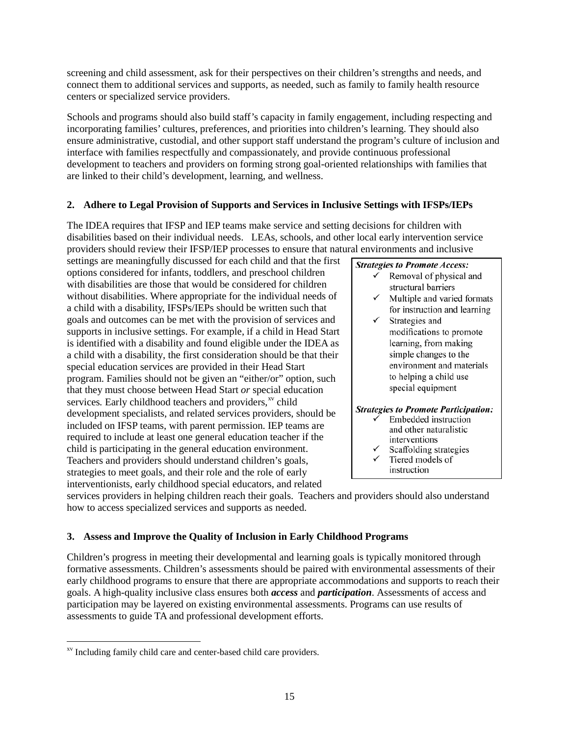screening and child assessment, ask for their perspectives on their children's strengths and needs, and connect them to additional services and supports, as needed, such as family to family health resource centers or specialized service providers.

Schools and programs should also build staff's capacity in family engagement, including respecting and incorporating families' cultures, preferences, and priorities into children's learning. They should also ensure administrative, custodial, and other support staff understand the program's culture of inclusion and interface with families respectfully and compassionately, and provide continuous professional development to teachers and providers on forming strong goal-oriented relationships with families that are linked to their child's development, learning, and wellness.

# **2. Adhere to Legal Provision of Supports and Services in Inclusive Settings with IFSPs/IEPs**

The IDEA requires that IFSP and IEP teams make service and setting decisions for children with disabilities based on their individual needs. LEAs, schools, and other local early intervention service providers should review their IFSP/IEP processes to ensure that natural environments and inclusive

settings are meaningfully discussed for each child and that the first options considered for infants, toddlers, and preschool children with disabilities are those that would be considered for children without disabilities. Where appropriate for the individual needs of a child with a disability, IFSPs/IEPs should be written such that goals and outcomes can be met with the provision of services and supports in inclusive settings. For example, if a child in Head Start is identified with a disability and found eligible under the IDEA as a child with a disability, the first consideration should be that their special education services are provided in their Head Start program. Families should not be given an "either/or" option, such that they must choose between Head Start *or* special education services. Early childhood teachers and providers,<sup>[xv](#page-9-0)</sup> child development specialists, and related services providers, should be included on IFSP teams, with parent permission. IEP teams are required to include at least one general education teacher if the child is participating in the general education environment. Teachers and providers should understand children's goals, strategies to meet goals, and their role and the role of early interventionists, early childhood special educators, and related

| <b>Strategies to Promote Access:</b> |                         |
|--------------------------------------|-------------------------|
|                                      | Removal of physical and |
|                                      | structural barriers     |

- Multiple and varied formats for instruction and learning
- $\checkmark$ Strategies and modifications to promote learning, from making simple changes to the environment and materials to helping a child use special equipment

# **Strategies to Promote Participation:**

- Embedded instruction and other naturalistic interventions
- Scaffolding strategies
	- Tiered models of
	- instruction

services providers in helping children reach their goals. Teachers and providers should also understand how to access specialized services and supports as needed.

# **3. Assess and Improve the Quality of Inclusion in Early Childhood Programs**

Children's progress in meeting their developmental and learning goals is typically monitored through formative assessments. Children's assessments should be paired with environmental assessments of their early childhood programs to ensure that there are appropriate accommodations and supports to reach their goals. A high-quality inclusive class ensures both *access* and *participation*. Assessments of access and participation may be layered on existing environmental assessments. Programs can use results of assessments to guide TA and professional development efforts.

<span id="page-9-0"></span><sup>&</sup>lt;sup>xv</sup> Including family child care and center-based child care providers.  $\ddot{\phantom{a}}$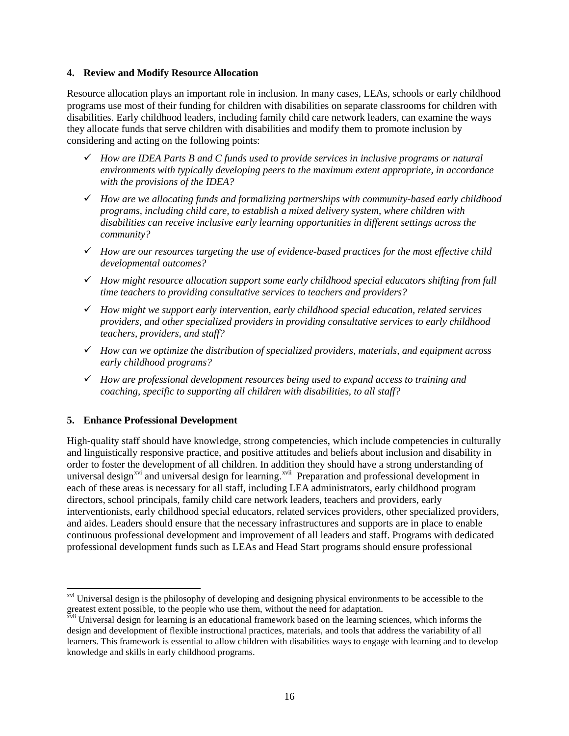#### **4. Review and Modify Resource Allocation**

Resource allocation plays an important role in inclusion. In many cases, LEAs, schools or early childhood programs use most of their funding for children with disabilities on separate classrooms for children with disabilities. Early childhood leaders, including family child care network leaders, can examine the ways they allocate funds that serve children with disabilities and modify them to promote inclusion by considering and acting on the following points:

- *How are IDEA Parts B and C funds used to provide services in inclusive programs or natural environments with typically developing peers to the maximum extent appropriate, in accordance with the provisions of the IDEA?*
- *How are we allocating funds and formalizing partnerships with community-based early childhood programs, including child care, to establish a mixed delivery system, where children with disabilities can receive inclusive early learning opportunities in different settings across the community?*
- *How are our resources targeting the use of evidence-based practices for the most effective child developmental outcomes?*
- *How might resource allocation support some early childhood special educators shifting from full time teachers to providing consultative services to teachers and providers?*
- *How might we support early intervention, early childhood special education, related services providers, and other specialized providers in providing consultative services to early childhood teachers, providers, and staff?*
- *How can we optimize the distribution of specialized providers, materials, and equipment across early childhood programs?*
- *How are professional development resources being used to expand access to training and coaching, specific to supporting all children with disabilities, to all staff?*

#### **5. Enhance Professional Development**

High-quality staff should have knowledge, strong competencies, which include competencies in culturally and linguistically responsive practice, and positive attitudes and beliefs about inclusion and disability in order to foster the development of all children. In addition they should have a strong understanding of universal design<sup>[xvi](#page-10-0)</sup> and universal design for learning.<sup>xvii</sup> Preparation and professional development in each of these areas is necessary for all staff, including LEA administrators, early childhood program directors, school principals, family child care network leaders, teachers and providers, early interventionists, early childhood special educators, related services providers, other specialized providers, and aides. Leaders should ensure that the necessary infrastructures and supports are in place to enable continuous professional development and improvement of all leaders and staff. Programs with dedicated professional development funds such as LEAs and Head Start programs should ensure professional

<span id="page-10-0"></span><sup>&</sup>lt;sup>xvi</sup> Universal design is the philosophy of developing and designing physical environments to be accessible to the greatest extent possible, to the people who use them, without the need for adaptation.  $\overline{a}$ 

<span id="page-10-1"></span><sup>&</sup>lt;sup>xvii</sup> Universal design for learning is an educational framework based on the learning sciences, which informs the design and development of flexible instructional practices, materials, and tools that address the variability of all learners. This framework is essential to allow children with disabilities ways to engage with learning and to develop knowledge and skills in early childhood programs.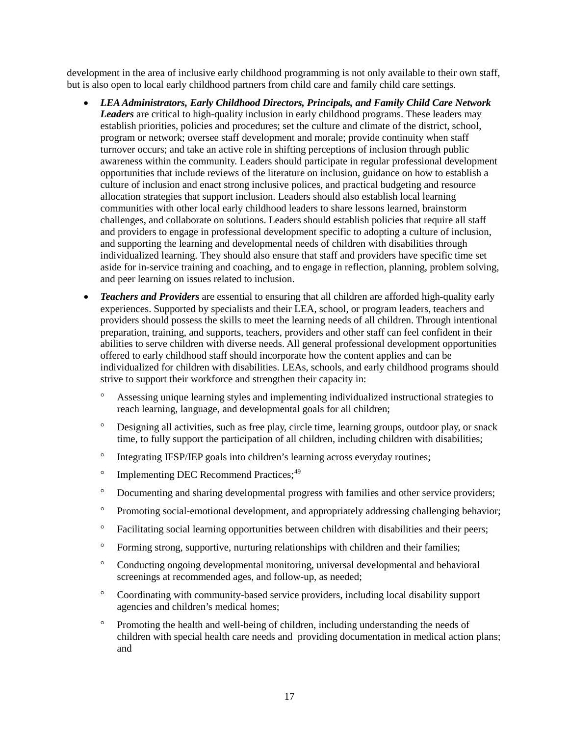development in the area of inclusive early childhood programming is not only available to their own staff, but is also open to local early childhood partners from child care and family child care settings.

- *LEA Administrators, Early Childhood Directors, Principals, and Family Child Care Network Leaders* are critical to high-quality inclusion in early childhood programs. These leaders may establish priorities, policies and procedures; set the culture and climate of the district, school, program or network; oversee staff development and morale; provide continuity when staff turnover occurs; and take an active role in shifting perceptions of inclusion through public awareness within the community. Leaders should participate in regular professional development opportunities that include reviews of the literature on inclusion, guidance on how to establish a culture of inclusion and enact strong inclusive polices, and practical budgeting and resource allocation strategies that support inclusion. Leaders should also establish local learning communities with other local early childhood leaders to share lessons learned, brainstorm challenges, and collaborate on solutions. Leaders should establish policies that require all staff and providers to engage in professional development specific to adopting a culture of inclusion, and supporting the learning and developmental needs of children with disabilities through individualized learning. They should also ensure that staff and providers have specific time set aside for in-service training and coaching, and to engage in reflection, planning, problem solving, and peer learning on issues related to inclusion.
- *Teachers and Providers* are essential to ensuring that all children are afforded high-quality early experiences. Supported by specialists and their LEA, school, or program leaders, teachers and providers should possess the skills to meet the learning needs of all children. Through intentional preparation, training, and supports, teachers, providers and other staff can feel confident in their abilities to serve children with diverse needs. All general professional development opportunities offered to early childhood staff should incorporate how the content applies and can be individualized for children with disabilities. LEAs, schools, and early childhood programs should strive to support their workforce and strengthen their capacity in:
	- ° Assessing unique learning styles and implementing individualized instructional strategies to reach learning, language, and developmental goals for all children;
	- ° Designing all activities, such as free play, circle time, learning groups, outdoor play, or snack time, to fully support the participation of all children, including children with disabilities;
	- ° Integrating IFSP/IEP goals into children's learning across everyday routines;
	- $^{\circ}$  Implementing DEC Recommend Practices;  $^{49}$  $^{49}$  $^{49}$
	- ° Documenting and sharing developmental progress with families and other service providers;
	- ° Promoting social-emotional development, and appropriately addressing challenging behavior;
	- ° Facilitating social learning opportunities between children with disabilities and their peers;
	- ° Forming strong, supportive, nurturing relationships with children and their families;
	- ° Conducting ongoing developmental monitoring, universal developmental and behavioral screenings at recommended ages, and follow-up, as needed;
	- ° Coordinating with community-based service providers, including local disability support agencies and children's medical homes;
	- ° Promoting the health and well-being of children, including understanding the needs of children with special health care needs and providing documentation in medical action plans; and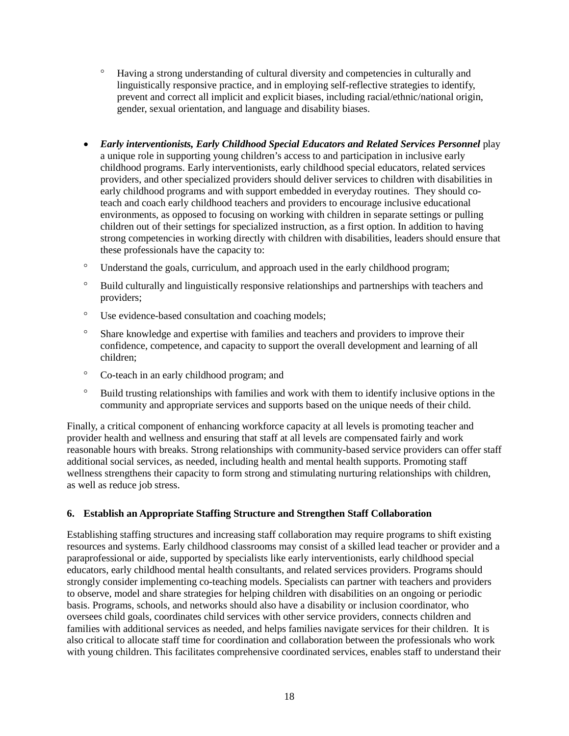- ° Having a strong understanding of cultural diversity and competencies in culturally and linguistically responsive practice, and in employing self-reflective strategies to identify, prevent and correct all implicit and explicit biases, including racial/ethnic/national origin, gender, sexual orientation, and language and disability biases.
- *Early interventionists, Early Childhood Special Educators and Related Services Personnel* play a unique role in supporting young children's access to and participation in inclusive early childhood programs. Early interventionists, early childhood special educators, related services providers, and other specialized providers should deliver services to children with disabilities in early childhood programs and with support embedded in everyday routines. They should coteach and coach early childhood teachers and providers to encourage inclusive educational environments, as opposed to focusing on working with children in separate settings or pulling children out of their settings for specialized instruction, as a first option. In addition to having strong competencies in working directly with children with disabilities, leaders should ensure that these professionals have the capacity to:
- ° Understand the goals, curriculum, and approach used in the early childhood program;
- ° Build culturally and linguistically responsive relationships and partnerships with teachers and providers;
- ° Use evidence-based consultation and coaching models;
- ° Share knowledge and expertise with families and teachers and providers to improve their confidence, competence, and capacity to support the overall development and learning of all children;
- ° Co-teach in an early childhood program; and
- ° Build trusting relationships with families and work with them to identify inclusive options in the community and appropriate services and supports based on the unique needs of their child.

Finally, a critical component of enhancing workforce capacity at all levels is promoting teacher and provider health and wellness and ensuring that staff at all levels are compensated fairly and work reasonable hours with breaks. Strong relationships with community-based service providers can offer staff additional social services, as needed, including health and mental health supports. Promoting staff wellness strengthens their capacity to form strong and stimulating nurturing relationships with children, as well as reduce job stress.

# **6. Establish an Appropriate Staffing Structure and Strengthen Staff Collaboration**

Establishing staffing structures and increasing staff collaboration may require programs to shift existing resources and systems. Early childhood classrooms may consist of a skilled lead teacher or provider and a paraprofessional or aide, supported by specialists like early interventionists, early childhood special educators, early childhood mental health consultants, and related services providers. Programs should strongly consider implementing co-teaching models. Specialists can partner with teachers and providers to observe, model and share strategies for helping children with disabilities on an ongoing or periodic basis. Programs, schools, and networks should also have a disability or inclusion coordinator, who oversees child goals, coordinates child services with other service providers, connects children and families with additional services as needed, and helps families navigate services for their children. It is also critical to allocate staff time for coordination and collaboration between the professionals who work with young children. This facilitates comprehensive coordinated services, enables staff to understand their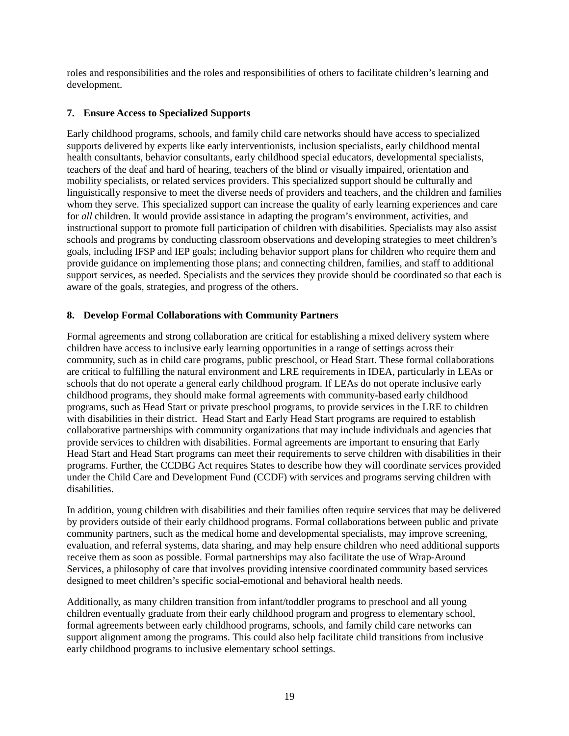roles and responsibilities and the roles and responsibilities of others to facilitate children's learning and development.

# **7. Ensure Access to Specialized Supports**

Early childhood programs, schools, and family child care networks should have access to specialized supports delivered by experts like early interventionists, inclusion specialists, early childhood mental health consultants, behavior consultants, early childhood special educators, developmental specialists, teachers of the deaf and hard of hearing, teachers of the blind or visually impaired, orientation and mobility specialists, or related services providers. This specialized support should be culturally and linguistically responsive to meet the diverse needs of providers and teachers, and the children and families whom they serve. This specialized support can increase the quality of early learning experiences and care for *all* children. It would provide assistance in adapting the program's environment, activities, and instructional support to promote full participation of children with disabilities. Specialists may also assist schools and programs by conducting classroom observations and developing strategies to meet children's goals, including IFSP and IEP goals; including behavior support plans for children who require them and provide guidance on implementing those plans; and connecting children, families, and staff to additional support services, as needed. Specialists and the services they provide should be coordinated so that each is aware of the goals, strategies, and progress of the others.

# **8. Develop Formal Collaborations with Community Partners**

Formal agreements and strong collaboration are critical for establishing a mixed delivery system where children have access to inclusive early learning opportunities in a range of settings across their community, such as in child care programs, public preschool, or Head Start. These formal collaborations are critical to fulfilling the natural environment and LRE requirements in IDEA, particularly in LEAs or schools that do not operate a general early childhood program. If LEAs do not operate inclusive early childhood programs, they should make formal agreements with community-based early childhood programs, such as Head Start or private preschool programs, to provide services in the LRE to children with disabilities in their district. Head Start and Early Head Start programs are required to establish collaborative partnerships with community organizations that may include individuals and agencies that provide services to children with disabilities. Formal agreements are important to ensuring that Early Head Start and Head Start programs can meet their requirements to serve children with disabilities in their programs. Further, the CCDBG Act requires States to describe how they will coordinate services provided under the Child Care and Development Fund (CCDF) with services and programs serving children with disabilities.

In addition, young children with disabilities and their families often require services that may be delivered by providers outside of their early childhood programs. Formal collaborations between public and private community partners, such as the medical home and developmental specialists, may improve screening, evaluation, and referral systems, data sharing, and may help ensure children who need additional supports receive them as soon as possible. Formal partnerships may also facilitate the use of Wrap-Around Services, a philosophy of care that involves providing intensive coordinated community based services designed to meet children's specific social-emotional and behavioral health needs.

Additionally, as many children transition from infant/toddler programs to preschool and all young children eventually graduate from their early childhood program and progress to elementary school, formal agreements between early childhood programs, schools, and family child care networks can support alignment among the programs. This could also help facilitate child transitions from inclusive early childhood programs to inclusive elementary school settings.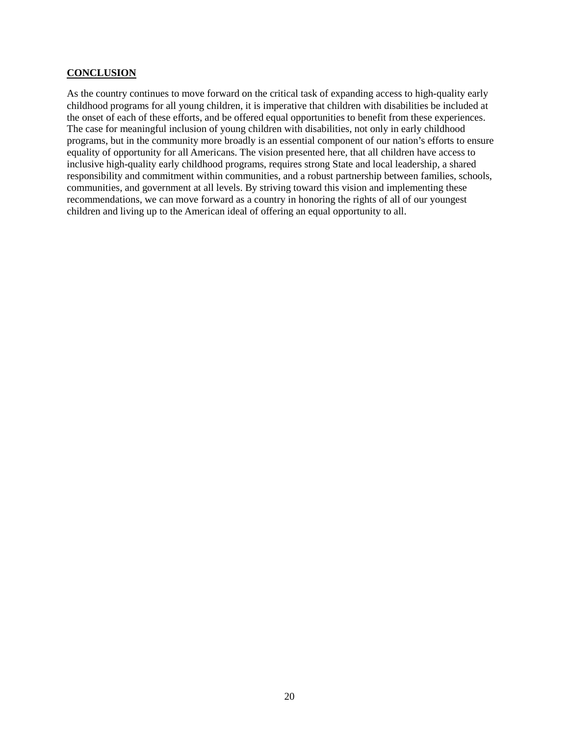#### **CONCLUSION**

As the country continues to move forward on the critical task of expanding access to high-quality early childhood programs for all young children, it is imperative that children with disabilities be included at the onset of each of these efforts, and be offered equal opportunities to benefit from these experiences. The case for meaningful inclusion of young children with disabilities, not only in early childhood programs, but in the community more broadly is an essential component of our nation's efforts to ensure equality of opportunity for all Americans. The vision presented here, that all children have access to inclusive high-quality early childhood programs, requires strong State and local leadership, a shared responsibility and commitment within communities, and a robust partnership between families, schools, communities, and government at all levels. By striving toward this vision and implementing these recommendations, we can move forward as a country in honoring the rights of all of our youngest children and living up to the American ideal of offering an equal opportunity to all.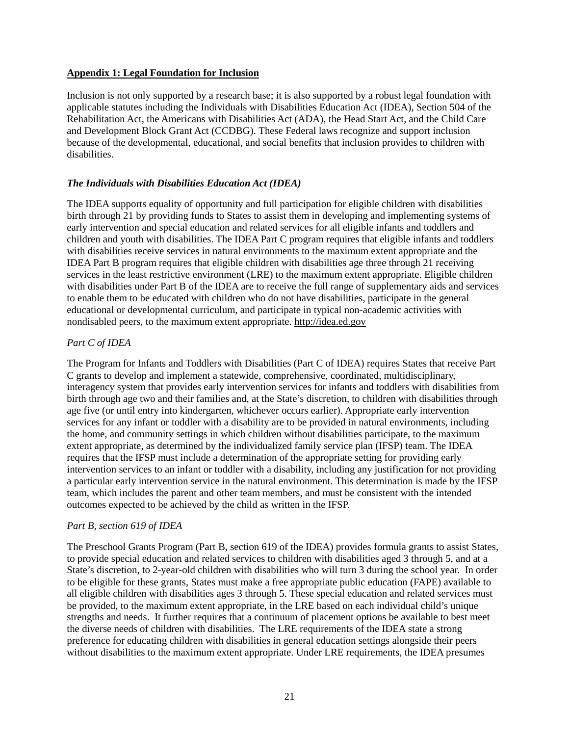#### **Appendix 1: Legal Foundation for Inclusion**

Inclusion is not only supported by a research base; it is also supported by a robust legal foundation with applicable statutes including the Individuals with Disabilities Education Act (IDEA), Section 504 of the Rehabilitation Act, the Americans with Disabilities Act (ADA), the Head Start Act, and the Child Care and Development Block Grant Act (CCDBG). These Federal laws recognize and support inclusion because of the developmental, educational, and social benefits that inclusion provides to children with disabilities.

# *The Individuals with Disabilities Education Act (IDEA)*

The IDEA supports equality of opportunity and full participation for eligible children with disabilities birth through 21 by providing funds to States to assist them in developing and implementing systems of early intervention and special education and related services for all eligible infants and toddlers and children and youth with disabilities. The IDEA Part C program requires that eligible infants and toddlers with disabilities receive services in natural environments to the maximum extent appropriate and the IDEA Part B program requires that eligible children with disabilities age three through 21 receiving services in the least restrictive environment (LRE) to the maximum extent appropriate. Eligible children with disabilities under Part B of the IDEA are to receive the full range of supplementary aids and services to enable them to be educated with children who do not have disabilities, participate in the general educational or developmental curriculum, and participate in typical non-academic activities with nondisabled peers, to the maximum extent appropriate. [http://idea.ed.gov](http://idea.ed.gov/)

# *Part C of IDEA*

The Program for Infants and Toddlers with Disabilities (Part C of IDEA) requires States that receive Part C grants to develop and implement a statewide, comprehensive, coordinated, multidisciplinary, interagency system that provides early intervention services for infants and toddlers with disabilities from birth through age two and their families and, at the State's discretion, to children with disabilities through age five (or until entry into kindergarten, whichever occurs earlier). Appropriate early intervention services for any infant or toddler with a disability are to be provided in natural environments, including the home, and community settings in which children without disabilities participate, to the maximum extent appropriate, as determined by the individualized family service plan (IFSP) team. The IDEA requires that the IFSP must include a determination of the appropriate setting for providing early intervention services to an infant or toddler with a disability, including any justification for not providing a particular early intervention service in the natural environment. This determination is made by the IFSP team, which includes the parent and other team members, and must be consistent with the intended outcomes expected to be achieved by the child as written in the IFSP.

#### *Part B, section 619 of IDEA*

The Preschool Grants Program (Part B, section 619 of the IDEA) provides formula grants to assist States, to provide special education and related services to children with disabilities aged 3 through 5, and at a State's discretion, to 2-year-old children with disabilities who will turn 3 during the school year. In order to be eligible for these grants, States must make a free appropriate public education (FAPE) available to all eligible children with disabilities ages 3 through 5. These special education and related services must be provided, to the maximum extent appropriate, in the LRE based on each individual child's unique strengths and needs. It further requires that a continuum of placement options be available to best meet the diverse needs of children with disabilities. The LRE requirements of the IDEA state a strong preference for educating children with disabilities in general education settings alongside their peers without disabilities to the maximum extent appropriate. Under LRE requirements, the IDEA presumes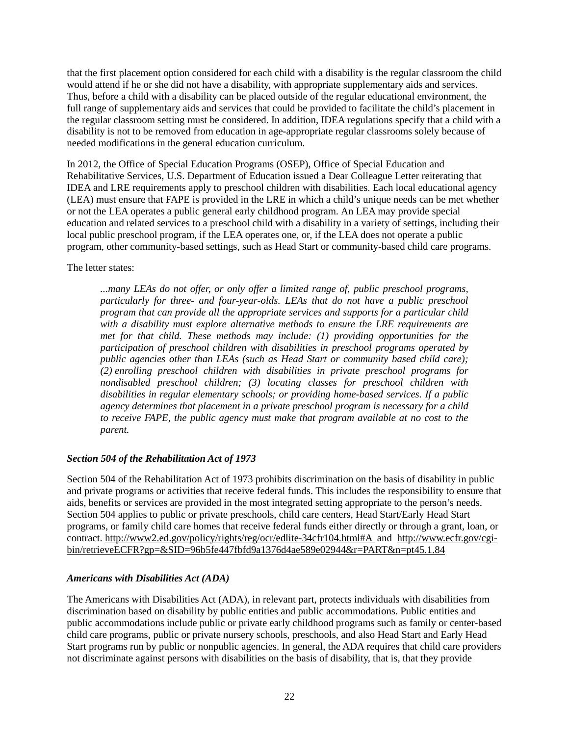that the first placement option considered for each child with a disability is the regular classroom the child would attend if he or she did not have a disability, with appropriate supplementary aids and services. Thus, before a child with a disability can be placed outside of the regular educational environment, the full range of supplementary aids and services that could be provided to facilitate the child's placement in the regular classroom setting must be considered. In addition, IDEA regulations specify that a child with a disability is not to be removed from education in age-appropriate regular classrooms solely because of needed modifications in the general education curriculum.

In 2012, the Office of Special Education Programs (OSEP), Office of Special Education and Rehabilitative Services, U.S. Department of Education issued a Dear Colleague Letter reiterating that IDEA and LRE requirements apply to preschool children with disabilities. Each local educational agency (LEA) must ensure that FAPE is provided in the LRE in which a child's unique needs can be met whether or not the LEA operates a public general early childhood program. An LEA may provide special education and related services to a preschool child with a disability in a variety of settings, including their local public preschool program, if the LEA operates one, or, if the LEA does not operate a public program, other community-based settings, such as Head Start or community-based child care programs.

# The letter states:

*...many LEAs do not offer, or only offer a limited range of, public preschool programs, particularly for three- and four-year-olds. LEAs that do not have a public preschool program that can provide all the appropriate services and supports for a particular child with a disability must explore alternative methods to ensure the LRE requirements are met for that child. These methods may include: (1) providing opportunities for the participation of preschool children with disabilities in preschool programs operated by public agencies other than LEAs (such as Head Start or community based child care); (2) enrolling preschool children with disabilities in private preschool programs for nondisabled preschool children; (3) locating classes for preschool children with disabilities in regular elementary schools; or providing home-based services. If a public agency determines that placement in a private preschool program is necessary for a child to receive FAPE, the public agency must make that program available at no cost to the parent.*

# *Section 504 of the Rehabilitation Act of 1973*

Section 504 of the Rehabilitation Act of 1973 prohibits discrimination on the basis of disability in public and private programs or activities that receive federal funds. This includes the responsibility to ensure that aids, benefits or services are provided in the most integrated setting appropriate to the person's needs. Section 504 applies to public or private preschools, child care centers, Head Start/Early Head Start programs, or family child care homes that receive federal funds either directly or through a grant, loan, or contract. [http://www2.ed.gov/policy/rights/reg/ocr/edlite-34cfr104.html#A](http://www2.ed.gov/policy/rights/reg/ocr/edlite-34cfr104.html%23A%20) and http://www.ecfr.gov/cgibin/retrieveECFR?gp=&SID=96b5fe447fbfd9a1376d4ae589e02944&r=PART&n=pt45.1.84

#### *Americans with Disabilities Act (ADA)*

The Americans with Disabilities Act (ADA), in relevant part, protects individuals with disabilities from discrimination based on disability by public entities and public accommodations. Public entities and public accommodations include public or private early childhood programs such as family or center-based child care programs, public or private nursery schools, preschools, and also Head Start and Early Head Start programs run by public or nonpublic agencies. In general, the ADA requires that child care providers not discriminate against persons with disabilities on the basis of disability, that is, that they provide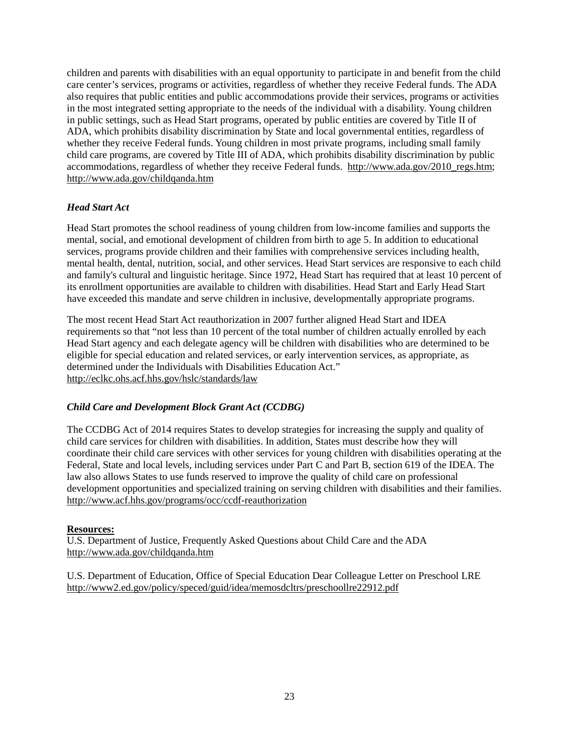children and parents with disabilities with an equal opportunity to participate in and benefit from the child care center's services, programs or activities, regardless of whether they receive Federal funds. The ADA also requires that public entities and public accommodations provide their services, programs or activities in the most integrated setting appropriate to the needs of the individual with a disability. Young children in public settings, such as Head Start programs, operated by public entities are covered by Title II of ADA, which prohibits disability discrimination by State and local governmental entities, regardless of whether they receive Federal funds. Young children in most private programs, including small family child care programs, are covered by Title III of ADA, which prohibits disability discrimination by public accommodations, regardless of whether they receive Federal funds. [http://www.ada.gov/2010\\_regs.htm;](http://www.ada.gov/2010_regs.htm) http://www.ada.gov/childqanda.htm

# *Head Start Act*

Head Start promotes the school readiness of young children from low-income families and supports the mental, social, and emotional development of children from birth to age 5. In addition to educational services, programs provide children and their families with comprehensive services including health, mental health, dental, nutrition, social, and other services. Head Start services are responsive to each child and family's cultural and linguistic heritage. Since 1972, Head Start has required that at least 10 percent of its enrollment opportunities are available to children with disabilities. Head Start and Early Head Start have exceeded this mandate and serve children in inclusive, developmentally appropriate programs.

The most recent Head Start Act reauthorization in 2007 further aligned Head Start and IDEA requirements so that "not less than 10 percent of the total number of children actually enrolled by each Head Start agency and each delegate agency will be children with disabilities who are determined to be eligible for special education and related services, or early intervention services, as appropriate, as determined under the Individuals with Disabilities Education Act." <http://eclkc.ohs.acf.hhs.gov/hslc/standards/law>

# *Child Care and Development Block Grant Act (CCDBG)*

The CCDBG Act of 2014 requires States to develop strategies for increasing the supply and quality of child care services for children with disabilities. In addition, States must describe how they will coordinate their child care services with other services for young children with disabilities operating at the Federal, State and local levels, including services under Part C and Part B, section 619 of the IDEA. The law also allows States to use funds reserved to improve the quality of child care on professional development opportunities and specialized training on serving children with disabilities and their families. <http://www.acf.hhs.gov/programs/occ/ccdf-reauthorization>

# **Resources:**

U.S. Department of Justice, Frequently Asked Questions about Child Care and the ADA <http://www.ada.gov/childqanda.htm>

U.S. Department of Education, Office of Special Education Dear Colleague Letter on Preschool LRE <http://www2.ed.gov/policy/speced/guid/idea/memosdcltrs/preschoollre22912.pdf>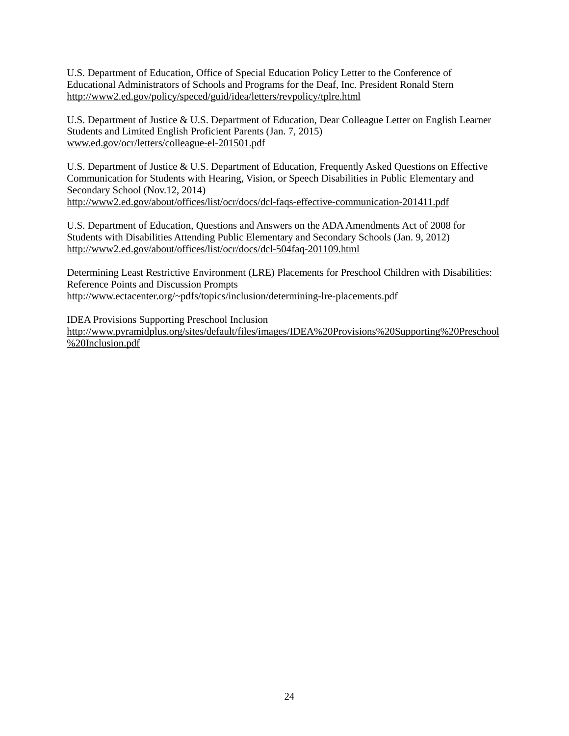U.S. Department of Education, Office of Special Education Policy Letter to the Conference of Educational Administrators of Schools and Programs for the Deaf, Inc. President Ronald Stern http://www2.ed.gov/policy/speced/guid/idea/letters/revpolicy/tplre.html

U.S. Department of Justice & U.S. Department of Education, Dear Colleague Letter on English Learner Students and Limited English Proficient Parents (Jan. 7, 2015) [www.ed.gov/ocr/letters/colleague-el-201501.pdf](http://www.ed.gov/ocr/letters/colleague-el-201501.pdf)

U.S. Department of Justice & U.S. Department of Education, Frequently Asked Questions on Effective Communication for Students with Hearing, Vision, or Speech Disabilities in Public Elementary and Secondary School (Nov.12, 2014) <http://www2.ed.gov/about/offices/list/ocr/docs/dcl-faqs-effective-communication-201411.pdf>

U.S. Department of Education, Questions and Answers on the ADA Amendments Act of 2008 for Students with Disabilities Attending Public Elementary and Secondary Schools (Jan. 9, 2012) <http://www2.ed.gov/about/offices/list/ocr/docs/dcl-504faq-201109.html>

Determining Least Restrictive Environment (LRE) Placements for Preschool Children with Disabilities: Reference Points and Discussion Prompts [http://www.ectacenter.org/~pdfs/topics/inclusion/determining-lre-placements.pdf](http://www.ectacenter.org/%7Epdfs/topics/inclusion/determining-lre-placements.pdf)

IDEA Provisions Supporting Preschool Inclusion [http://www.pyramidplus.org/sites/default/files/images/IDEA%20Provisions%20Supporting%20Preschool](http://www.pyramidplus.org/sites/default/files/images/IDEA%20Provisions%20Supporting%20Preschool%20Inclusion.pdf) [%20Inclusion.pdf](http://www.pyramidplus.org/sites/default/files/images/IDEA%20Provisions%20Supporting%20Preschool%20Inclusion.pdf)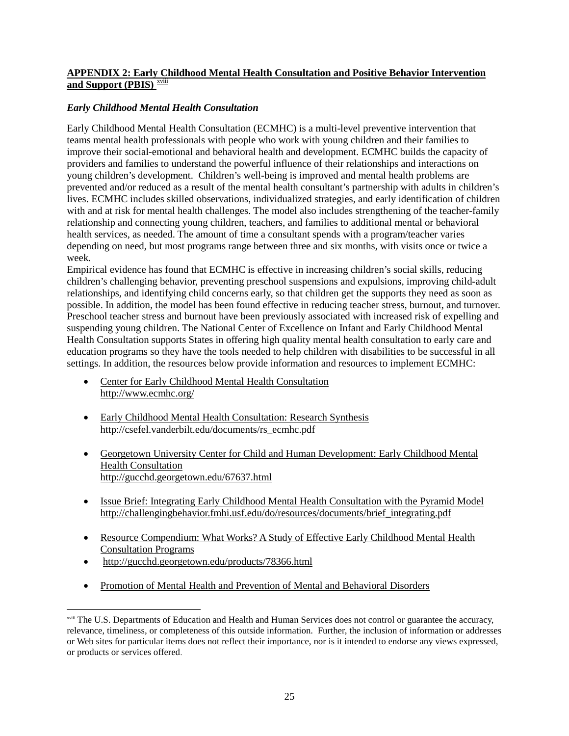#### **APPENDIX 2: Early C[h](#page-19-0)ildhood Mental Health Consultation and Positive Behavior Intervention**  and Support (PBIS) **xviii**

# *Early Childhood Mental Health Consultation*

Early Childhood Mental Health Consultation (ECMHC) is a multi-level preventive intervention that teams mental health professionals with people who work with young children and their families to improve their social-emotional and behavioral health and development. ECMHC builds the capacity of providers and families to understand the powerful influence of their relationships and interactions on young children's development. Children's well-being is improved and mental health problems are prevented and/or reduced as a result of the mental health consultant's partnership with adults in children's lives. ECMHC includes skilled observations, individualized strategies, and early identification of children with and at risk for mental health challenges. The model also includes strengthening of the teacher-family relationship and connecting young children, teachers, and families to additional mental or behavioral health services, as needed. The amount of time a consultant spends with a program/teacher varies depending on need, but most programs range between three and six months, with visits once or twice a week.

Empirical evidence has found that ECMHC is effective in increasing children's social skills, reducing children's challenging behavior, preventing preschool suspensions and expulsions, improving child-adult relationships, and identifying child concerns early, so that children get the supports they need as soon as possible. In addition, the model has been found effective in reducing teacher stress, burnout, and turnover. Preschool teacher stress and burnout have been previously associated with increased risk of expelling and suspending young children. The National Center of Excellence on Infant and Early Childhood Mental Health Consultation supports States in offering high quality mental health consultation to early care and education programs so they have the tools needed to help children with disabilities to be successful in all settings. In addition, the resources below provide information and resources to implement ECMHC[:](http://www.ecmhc.org/)

- [Center for Early Childhood Mental Health Consultation](http://www.ecmhc.org/) <http://www.ecmhc.org/>
- [Early Childhood Mental Health Consultation: Research Synthesis](http://csefel.vanderbilt.edu/documents/rs_ecmhc.pdf) [http://csefel.vanderbilt.edu/documents/rs\\_ecmhc.pdf](http://csefel.vanderbilt.edu/documents/rs_ecmhc.pdf)
- Georgetown University Center for Child and Human Development: Early Childhood Mental [Health Consultation](http://gucchd.georgetown.edu/67637.html) <http://gucchd.georgetown.edu/67637.html>
- [Issue Brief: Integrating Early Childhood Mental Health Consultation with the Pyramid Model](http://challengingbehavior.fmhi.usf.edu/do/resources/documents/brief_integrating.pdf) [http://challengingbehavior.fmhi.usf.edu/do/resources/documents/brief\\_integrating.pdf](http://challengingbehavior.fmhi.usf.edu/do/resources/documents/brief_integrating.pdf)
- Resource Compendium: What Works? A Study of Effective Early Childhood Mental Health [Consultation Programs](http://gucchd.georgetown.edu/products/78366.html)
- <http://gucchd.georgetown.edu/products/78366.html>

 $\overline{a}$ 

• [Promotion of Mental Health and Prevention of Mental and Behavioral Disorders](http://store.samhsa.gov/shin/content/SVP05-0151/SVP05-0151.pdf)

<span id="page-19-0"></span>xviii The U.S. Departments of Education and Health and Human Services does not control or guarantee the accuracy, relevance, timeliness, or completeness of this outside information. Further, the inclusion of information or addresses or Web sites for particular items does not reflect their importance, nor is it intended to endorse any views expressed, or products or services offered.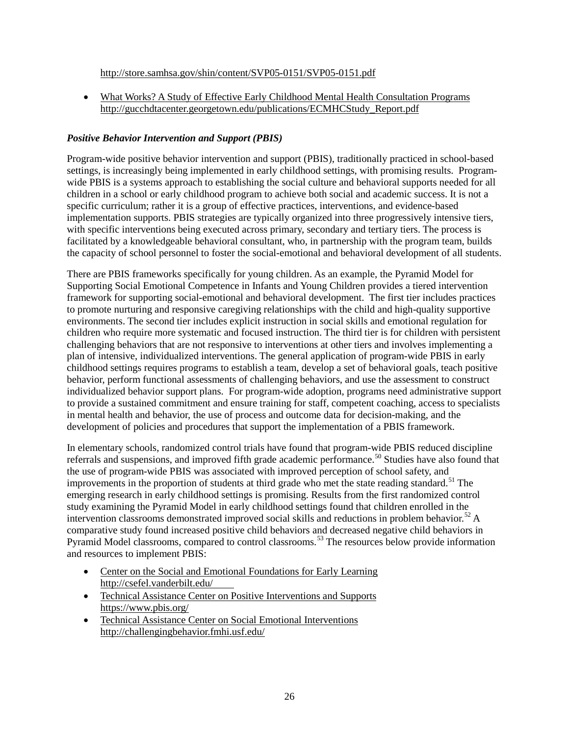<http://store.samhsa.gov/shin/content/SVP05-0151/SVP05-0151.pdf>

• [What Works? A Study of Effective Early Childhood Mental Health Consultation Programs](http://gucchdtacenter.georgetown.edu/publications/ECMHCStudy_Report.pdf) [http://gucchdtacenter.georgetown.edu/publications/ECMHCStudy\\_Report.pdf](http://gucchdtacenter.georgetown.edu/publications/ECMHCStudy_Report.pdf)

# *Positive Behavior Intervention and Support (PBIS)*

Program-wide positive behavior intervention and support (PBIS), traditionally practiced in school-based settings, is increasingly being implemented in early childhood settings, with promising results. Programwide PBIS is a systems approach to establishing the social culture and behavioral supports needed for all children in a school or early childhood program to achieve both social and academic success. It is not a specific curriculum; rather it is a group of effective practices, interventions, and evidence-based implementation supports. PBIS strategies are typically organized into three progressively intensive tiers, with specific interventions being executed across primary, secondary and tertiary tiers. The process is facilitated by a knowledgeable behavioral consultant, who, in partnership with the program team, builds the capacity of school personnel to foster the social-emotional and behavioral development of all students.

There are PBIS frameworks specifically for young children. As an example, the Pyramid Model for Supporting Social Emotional Competence in Infants and Young Children provides a tiered intervention framework for supporting social-emotional and behavioral development. The first tier includes practices to promote nurturing and responsive caregiving relationships with the child and high-quality supportive environments. The second tier includes explicit instruction in social skills and emotional regulation for children who require more systematic and focused instruction. The third tier is for children with persistent challenging behaviors that are not responsive to interventions at other tiers and involves implementing a plan of intensive, individualized interventions. The general application of program-wide PBIS in early childhood settings requires programs to establish a team, develop a set of behavioral goals, teach positive behavior, perform functional assessments of challenging behaviors, and use the assessment to construct individualized behavior support plans. For program-wide adoption, programs need administrative support to provide a sustained commitment and ensure training for staff, competent coaching, access to specialists in mental health and behavior, the use of process and outcome data for decision-making, and the development of policies and procedures that support the implementation of a PBIS framework.

In elementary schools, randomized control trials have found that program-wide PBIS reduced discipline referrals and suspensions, and improved fifth grade academic performance.<sup>[50](#page-37-6)</sup> Studies have also found that the use of program-wide PBIS was associated with improved perception of school safety, and improvements in the proportion of students at third grade who met the state reading standard.<sup>[51](#page-37-7)</sup> The emerging research in early childhood settings is promising. Results from the first randomized control study examining the Pyramid Model in early childhood settings found that children enrolled in the intervention classrooms demonstrated improved social skills and reductions in problem behavior.<sup>[52](#page-37-8)</sup> A comparative study found increased positive child behaviors and decreased negative child behaviors in Pyramid Model classrooms, compared to control classrooms.<sup>[53](#page-37-9)</sup> The resources below provide information and resources to implement PBIS:

- [Center on the Social and Emotional Foundations for Early Learning](http://csefel.vanderbilt.edu/) <http://csefel.vanderbilt.edu/>
- Technical [Assistance Center on Positive Interventions and Supports](https://www.pbis.org/) <https://www.pbis.org/>
- [Technical Assistance Center on Social Emotional Interventions](http://challengingbehavior.fmhi.usf.edu/) <http://challengingbehavior.fmhi.usf.edu/>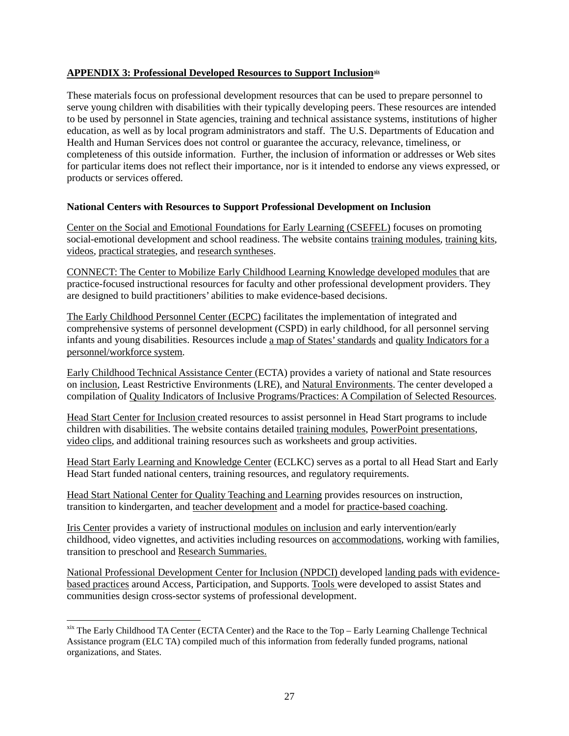### **APPENDIX 3: Professional Developed Resources to Support Inclusion<sup>xix</sup>**

These materials focus on professional development resources that can be used to prepare personnel to serve young children with disabilities with their typically developing peers. These resources are intended to be used by personnel in State agencies, training and technical assistance systems, institutions of higher education, as well as by local program administrators and staff. The U.S. Departments of Education and Health and Human Services does not control or guarantee the accuracy, relevance, timeliness, or completeness of this outside information. Further, the inclusion of information or addresses or Web sites for particular items does not reflect their importance, nor is it intended to endorse any views expressed, or products or services offered.

# **National Centers with Resources to Support Professional Development on Inclusion**

[Center on the Social and Emotional Foundations for Early Learning \(CSEFEL\)](http://csefel.vanderbilt.edu/) focuses on promoting social-emotional development and school readiness. The website contains [training modules,](http://csefel.vanderbilt.edu/resources/training_modules.html) [training kits](http://csefel.vanderbilt.edu/resources/training_kits.html)[,](http://csefel.vanderbilt.edu/resources/videos.html) [videos,](http://csefel.vanderbilt.edu/resources/videos.html) [practical strategies,](http://csefel.vanderbilt.edu/resources/research.html) and [research syntheses.](http://csefel.vanderbilt.edu/resources/research.html)

[CONNECT: The Center to Mobilize Early Childhood Learning](http://fpg.unc.edu/node/2848) Knowledge developed [modules](http://community.fpg.unc.edu/connect-modules/) that are practice-focused instructional resources for faculty and other professional development providers. They are designed to build practitioners' abilities to make evidence-based decisions.

[The Early Childhood Personnel Center \(ECPC\)](http://www.ecpcta.org/) facilitates the implementation of integrated and comprehensive systems of personnel development (CSPD) in early childhood, for all personnel serving infants and young disabilities. Resources include [a map of States' standards](http://ecpcta.org/personnel_standards/) and [quality Indicators for a](http://www.ecpcta.org/cspd/)  [personnel/workforce system.](http://www.ecpcta.org/cspd/)

[Early Childhood Technical Assistance](http://ectacenter.org/sitemap.asp%23topics) Center (ECTA) provides a variety of national and State resources on [inclusion,](http://ectacenter.org/topics/inclusion/default.asp) Least Restrictive Environments (LRE), and [Natural Environments.](http://ectacenter.org/topics/eiservices/eiservices.asp) The center developed a compilation of [Quality Indicators of Inclusive Programs/Practices: A Compilation of Selected Resources.](http://ectacenter.org/pubs/pubdetails.asp?pubsid=101)

[Head Start Center for Inclusion](http://depts.washington.edu/hscenter/abstract-mission-goals) created resources to assist personnel in Head Start programs to include children with disabilities. The website contains detailed [training modules,](http://depts.washington.edu/hscenter/modules-overview%23training) [PowerPoint presentations,](http://depts.washington.edu/hscenter/modules-overview) [video clips,](http://depts.washington.edu/hscenter/modules-overview) and additional training resources such as worksheets and group activities.

[Head Start Early Learning and Knowledge Center](https://eclkc.ohs.acf.hhs.gov/hslc) (ECLKC) serves as a portal to all Head Start and Early Head Start funded national centers, training resources, and regulatory requirements.

[Head Start National Center for Quality Teaching and Learning](http://eclkc.ohs.acf.hhs.gov/hslc/tta-system/teaching) provides resources on instruction, transition to kindergarten, and [teacher development](http://eclkc.ohs.acf.hhs.gov/hslc/tta-system/teaching/development) and a model for [practice-based coaching.](http://eclkc.ohs.acf.hhs.gov/hslc/tta-system/teaching/development/coaching.html)

[Iris Center](http://iris.peabody.vanderbilt.edu/) provides a variety of instructional [modules on inclusion](http://iris.peabody.vanderbilt.edu/module/rs/) and early intervention/early childhood, video vignettes, and activities including resources on [accommodations,](http://iris.peabody.vanderbilt.edu/iris-resource-locator/?term=early-intervention-early-childhood) working with families, transition to preschool and [Research Summaries.](http://iris.peabody.vanderbilt.edu/ebp_summaries/)

[National Professional Development Center for Inclusion \(NPDCI\)](http://npdci.fpg.unc.edu/) developed [landing pads with evidence](http://npdci.fpg.unc.edu/resources/quality-inclusive-practices-resources-and-landing-pads)[based practices](http://npdci.fpg.unc.edu/resources/quality-inclusive-practices-resources-and-landing-pads) around Access, Participation, and Supports[. Tools](http://npdci.fpg.unc.edu/resources/planning-and-facilitation-tools/the-landscape) were developed to assist States and communities design cross-sector systems of professional development.

<span id="page-21-0"></span>xix The Early Childhood TA Center (ECTA Center) and the Race to the Top – Early Learning Challenge Technical Assistance program (ELC TA) compiled much of this information from federally funded programs, national organizations, and States.  $\overline{a}$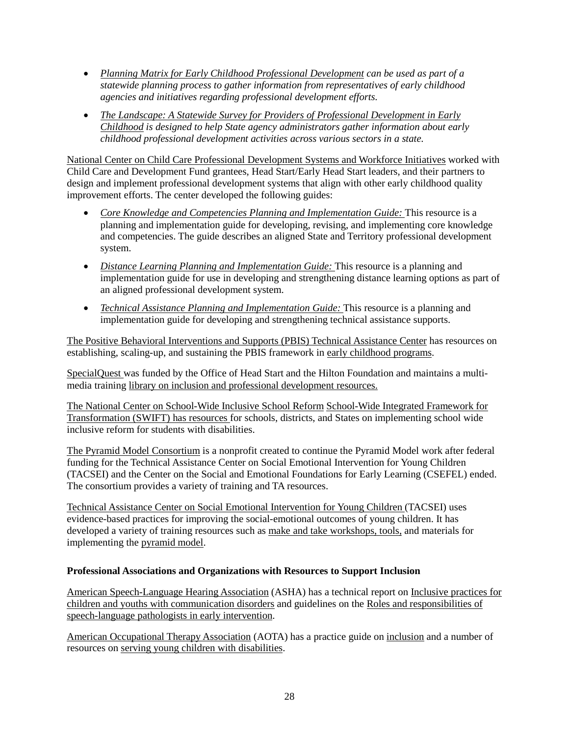- *[Planning Matrix for Early Childhood Professional Development](http://npdci.fpg.unc.edu/resources/planning-matrix-early-childhood-professional-development) can be used as part of a statewide planning process to gather information from representatives of early childhood agencies and initiatives regarding professional development efforts.*
- *[The Landscape: A Statewide Survey for Providers of Professional Development in Early](http://npdci.fpg.unc.edu/resources/planning-and-facilitation-tools/files/NPDCI-Landscape-survey-June2011)  [Childhood](http://npdci.fpg.unc.edu/resources/planning-and-facilitation-tools/files/NPDCI-Landscape-survey-June2011) is designed to help State agency administrators gather information about early childhood professional development activities across various sectors in a state.*

[National Center on Child Care Professional Development Systems and Workforce Initiatives](https://childcareta.acf.hhs.gov/professional-development-systems-and-workforce-initiatives) worked with Child Care and Development Fund grantees, Head Start/Early Head Start leaders, and their partners to design and implement professional development systems that align with other early childhood quality improvement efforts. The center developed the following guides:

- *[Core Knowledge and Competencies Planning and Implementation Guide:](https://childcareta.acf.hhs.gov/resource/core-knowledge-and-competencies-planning-and-implementation-guide-0)* This resource is a planning and implementation guide for developing, revising, and implementing core knowledge and competencies. The guide describes an aligned State and Territory professional development system.
- *Distance [Learning Planning and Implementation Guide:](https://childcareta.acf.hhs.gov/resource/distance-learning-planning-and-implementation-guide-0)* This resource is a planning and implementation guide for use in developing and strengthening distance learning options as part of an aligned professional development system.
- *[Technical Assistance Planning and Implementation Guide:](https://childcareta.acf.hhs.gov/resource/technical-assistance-planning-and-implementation-guide)* This resource is a planning and implementation guide for developing and strengthening technical assistance supports.

[The Positive Behavioral Interventions and Supports \(PBIS\) Technical Assistance Center](https://www.pbis.org/) has resources on establishing, scaling-up, and sustaining the PBIS framework in [early childhood programs.](https://www.pbis.org/community/early-childhood)

SpecialQuest was funded by the Office of Head Start and the Hilton Foundation and maintains a multimedia training [library on inclusion and professional development resources.](http://ncoe.pointinspace.com/trainingmaterials/)

The National Center on School-Wide Inclusive School Reform [School-Wide](http://www.swiftschools.org/) Integrated Framework for [Transformation](http://www.swiftschools.org/) (SWIFT) has resources for schools, districts, and States on implementing school wide inclusive reform for students with disabilities.

[The Pyramid Model Consortium](http://www.pyramidmodel.org/) is a nonprofit created to continue the Pyramid Model work after federal funding for the Technical Assistance Center on Social Emotional Intervention for Young Children (TACSEI) and the Center on the Social and Emotional Foundations for Early Learning (CSEFEL) ended. The consortium provides a variety of training and TA resources.

[Technical Assistance Center on Social Emotional Intervention for Young Children](http://challengingbehavior.fmhi.usf.edu/) (TACSEI) uses evidence-based practices for improving the social-emotional outcomes of young children. It has developed a variety of training resources such as [make and take workshops,](http://challengingbehavior.fmhi.usf.edu/communities/make_n_take/make_n_take_home.html) [tools,](http://challengingbehavior.fmhi.usf.edu/do/resources/tools.htm) and materials for implementing the [pyramid model.](http://challengingbehavior.fmhi.usf.edu/do/pyramid_model.htm)

#### **Professional Associations and Organizations with Resources to Support Inclusion**

[American Speech-Language Hearing Association](http://www.asha.org/) (ASHA) has a technical report on [Inclusive practices for](http://www.asha.org/policy/tr1996-00245.htm)  [children and youths with communication disorders](http://www.asha.org/policy/tr1996-00245.htm) and guidelines on the [Roles and responsibilities of](http://www.asha.org/policy/gl2008-00293.htm)  [speech-language pathologists in early intervention.](http://www.asha.org/policy/gl2008-00293.htm)

[American Occupational Therapy Association](http://www.aota.org/) (AOTA) has a practice guide on [inclusion](http://www.aota.org/-/media/Corporate/Files/Practice/Children/Inclusion-of-Children-With-Disabilities.PDF) and a number of resources on [serving young children with disabilities.](http://www.aota.org/Practice/Children-Youth/Early-Intervention.aspx)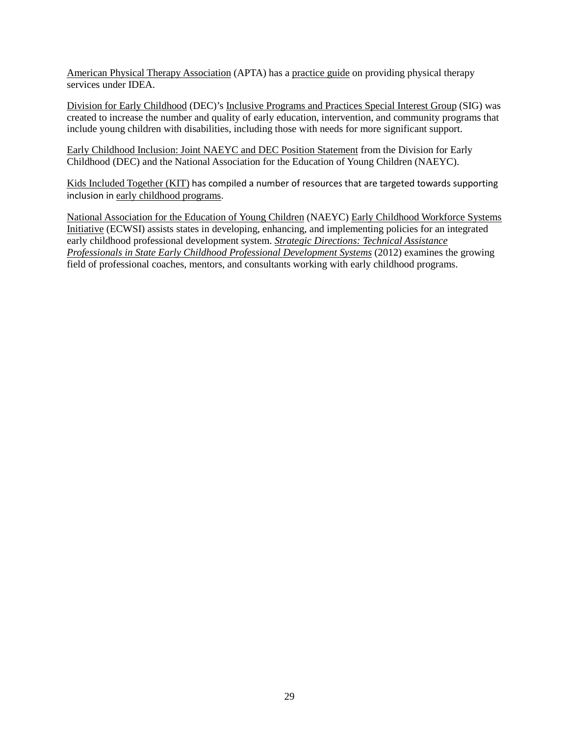[American Physical Therapy Association](https://www.apta.org/) (APTA) has a [practice guide](https://pediatricapta.org/pdfs/IDEA%20Schools.pdf) on providing physical therapy services under IDEA.

[Division for Early Childhood](http://www.dec-sped.org/) (DEC)'s [Inclusive Programs and Practices Special Interest Group](http://www.dec-sped.org/inclusion) (SIG) was created to increase the number and quality of early education, intervention, and community programs that include young children with disabilities, including those with needs for more significant support.

[Early Childhood Inclusion: Joint NAEYC and DEC Position Statement](http://www.naeyc.org/files/naeyc/file/positions/DEC_NAEYC_EC_updatedKS.pdf) from the Division for Early Childhood (DEC) and the National Association for the Education of Young Children (NAEYC).

[Kids Included Together \(KIT\)](http://www.kitonline.org/) has compiled a number of resources that are targeted towards supporting inclusion in [early childhood programs](http://www.kitonline.org/ecinclusion).

National Association for the [Education of Young Children](http://www.naeyc.org/) (NAEYC) [Early Childhood Workforce Systems](http://www.naeyc.org/policy/ecwsi)  [Initiative](http://www.naeyc.org/policy/ecwsi) (ECWSI) assists states in developing, enhancing, and implementing policies for an integrated early childhood professional development system. *[Strategic Directions: Technical Assistance](http://www.naeyc.org/files/naeyc/TA_Professionals.pdf)  [Professionals in State Early Childhood Professional Development Systems](http://www.naeyc.org/files/naeyc/TA_Professionals.pdf)* (2012) examines the growing field of professional coaches, mentors, and consultants working with early childhood programs.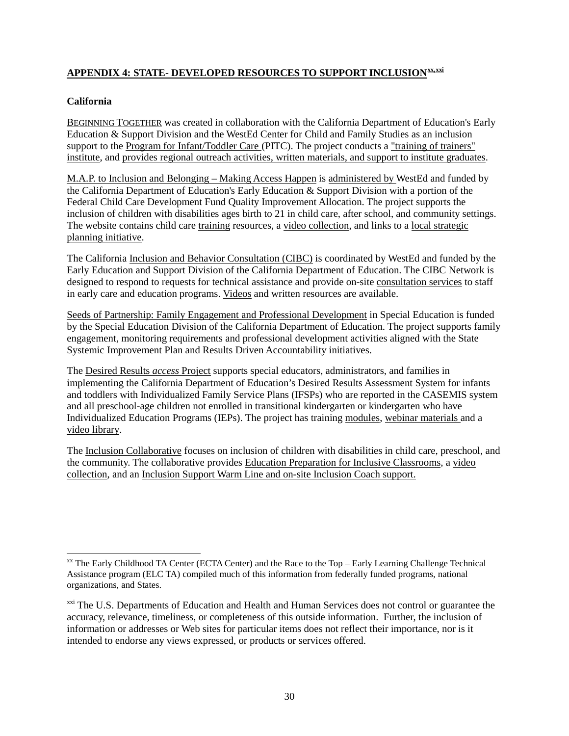# **APPENDIX 4: STATE- DEVELOPED RESOURCES TO SUPPORT INCLUSION[xx,](#page-24-0)[xxi](#page-24-1)**

#### **California**

[BEGINNING TOGETHER](http://cainclusion.org/bt/index.html) was created in collaboration with the California Department of Education's Early Education & Support Division and the WestEd Center for Child and Family Studies as an inclusion support to the [Program for Infant/Toddler Care \(](http://www.pitc.org/)PITC). The project conducts [a "training of trainers"](http://cainclusion.org/bt/institute.html)  [institute,](http://cainclusion.org/bt/institute.html) an[d provides regional outreach activities, written materials, and support to institute graduates.](http://cainclusion.org/bt/index.html)

[M.A.P. to Inclusion and Belonging –](http://cainclusion.org/camap/index.html) Making Access Happen is administered by WestEd and funded by the California Department of Education's Early Education & Support Division with a portion of the Federal Child Care Development Fund Quality Improvement Allocation. The project supports the inclusion of children with disabilities ages birth to 21 in child care, after school, and community settings. The website contains child care [training](http://cainclusion.org/camap/trainingppts.html) resources, a [video collection,](http://cainclusion.org/camap/videos.html) and links to a [local strategic](http://cainclusion.org/camap/tok.html)  [planning initiative.](http://cainclusion.org/camap/tok.html)

The California [Inclusion and Behavior Consultation \(CIBC\)](http://www.cibc-ca.org/) is coordinated by WestEd and funded by the Early Education and Support Division of the California Department of Education. The CIBC Network is designed to respond to requests for technical assistance and provide on-site [consultation services](https://www.cibc-ca.org/consultants/corner/practice/) to staff in early care and education programs. [Videos](https://www.cibc-ca.org/resources/inclusiondisability/id-videos/) and written resources are available.

[Seeds of Partnership: Family Engagement and Professional Development](http://www.seedsofpartnership.org/) in Special Education is funded by the Special Education Division of the California Department of Education. The project supports family engagement, monitoring requirements and professional development activities aligned with the State Systemic Improvement Plan and Results Driven Accountability initiatives.

The [Desired Results](http://www.draccess.org/index.html) *access* Project supports special educators, administrators, and families in implementing the California Department of Education's Desired Results Assessment System for infants and toddlers with Individualized Family Service Plans (IFSPs) who are reported in the CASEMIS system and all preschool-age children not enrolled in transitional kindergarten or kindergarten who have Individualized Education Programs (IEPs). The project has training [modules,](http://www.draccess.org/prodevelopment/learningmodules/) [webinar materials](http://www.draccess.org/prodevelopment/recordedwebinars/) and a [video library.](http://www.draccess.org/videolibrary/)

The [Inclusion Collaborative](http://www.sccoe.org/depts/students/inclusion-collaborative/Pages/default.aspx) focuses on inclusion of children with disabilities in child care, preschool, and the community. The collaborative provides [Education Preparation for Inclusive Classrooms,](http://www.sccoe.org/depts/students/inclusion-collaborative/EPIC/Forms/AllItems.aspx) a [video](http://www.sccoe.org/depts/students/inclusion-collaborative/Pages/default.aspx)  [collection,](http://www.sccoe.org/depts/students/inclusion-collaborative/Pages/default.aspx) and an [Inclusion Support Warm Line and on-site Inclusion Coach support.](http://www.sccoe.org/depts/students/inclusion-collaborative/Pages/warmline.aspx)

<span id="page-24-0"></span> $\frac{xx}{x}$  The Early Childhood TA Center (ECTA Center) and the Race to the Top – Early Learning Challenge Technical Assistance program (ELC TA) compiled much of this information from federally funded programs, national organizations, and States.  $\overline{a}$ 

<span id="page-24-1"></span><sup>&</sup>lt;sup>xxi</sup> The U.S. Departments of Education and Health and Human Services does not control or guarantee the accuracy, relevance, timeliness, or completeness of this outside information. Further, the inclusion of information or addresses or Web sites for particular items does not reflect their importance, nor is it intended to endorse any views expressed, or products or services offered.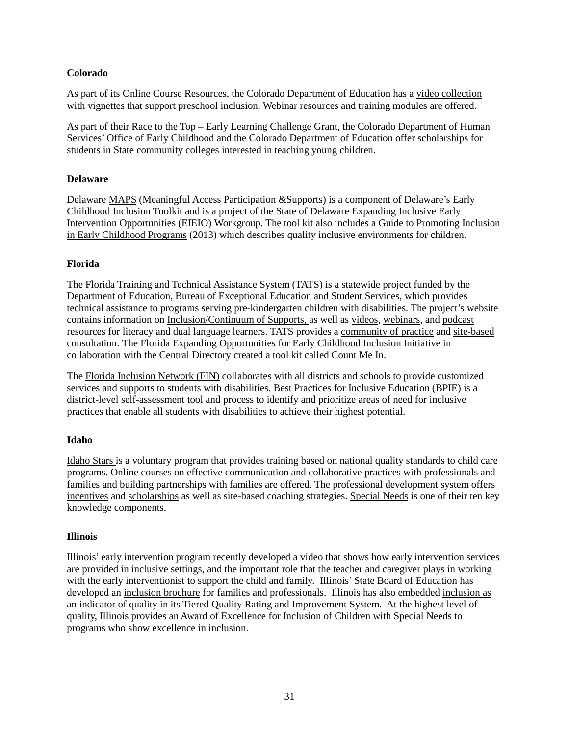# **Colorado**

As part of its Online Course Resources, the Colorado Department of Education has a [video collection](http://www.cde.state.co.us/early/onlinecresources) with vignettes that support preschool inclusion. [Webinar resources](http://www.cde.state.co.us/early/presped-trainingsnevents) and training modules are offered.

As part of their Race to the Top – Early Learning Challenge Grant, the Colorado Department of Human Services' Office of Early Childhood and the Colorado Department of Education offer [scholarships](http://www.cde.state.co.us/early/earlychildhoodscholarshipscommunitycolleges) for students in State community colleges interested in teaching young children.

### **Delaware**

Delaware [MAPS](http://www.dhss.delaware.gov/dms/epqc/birth3/files/de_maps_inclusion.pdf) (Meaningful Access Participation &Supports) is a component of Delaware's Early Childhood Inclusion Toolkit and is a project of the State of Delaware Expanding Inclusive Early Intervention Opportunities (EIEIO) Workgroup. The tool kit also includes a [Guide to Promoting Inclusion](http://www.dhss.delaware.gov/dms/epqc/birth3/files/guidetoinclusion2013.pdf)  [in Early Childhood Programs](http://www.dhss.delaware.gov/dms/epqc/birth3/files/guidetoinclusion2013.pdf) (2013) which describes quality inclusive environments for children.

# **Florida**

The Florida [Training and Technical Assistance System \(TATS\)](http://www.tats.ucf.edu/) is a statewide project funded by the Department of Education, Bureau of Exceptional Education and Student Services, which provides technical assistance to programs serving pre-kindergarten children with disabilities. The project's website contains information on [Inclusion/Continuum of Supports,](http://www.tats.ucf.edu/areas.cfm?id=4) as well as [videos,](http://www.tats.ucf.edu/videos.cfm?id=4) [webinars,](http://www.tats.ucf.edu/webinar.cfm?id=4) and [podcast](http://www.tats.ucf.edu/podcasts.cfm?id=4) resources for literacy and dual language learners. TATS provides a [community of practice](http://www.tats.ucf.edu/areas.cfm?id=4) and [site-based](http://www.tats.ucf.edu/regions.cfm?id=0)  [consultation.](http://www.tats.ucf.edu/regions.cfm?id=0) The Florida Expanding Opportunities for Early Childhood Inclusion Initiative in collaboration with the Central Directory created a tool kit calle[d Count Me In.](http://www.centraldirectory.org/uploads/ACF2014.pdf)

The [Florida Inclusion Network \(FIN\)](http://www.floridainclusionnetwork.com/about-us/) collaborates with all districts and schools to provide customized services and supports to students with disabilities. [Best Practices for Inclusive Education \(BPIE\)](http://www.floridainclusionnetwork.com/wp-content/uploads/2014/07/BPIE_District-Level_Rev_7-21-14.docx) is a district-level self-assessment tool and process to identify and prioritize areas of need for inclusive practices that enable all students with disabilities to achieve their highest potential.

#### **Idaho**

[Idaho Stars](http://www.idahostars.org/?q=Inclusion) is a voluntary program that provides training based on national quality standards to child care programs. [Online courses](http://idahostars.org/?q=distance-learning) on effective communication and collaborative practices with professionals and families and building partnerships with families are offered. The professional development system offers [incentives](http://idahostars.org/?q=recognition) and [scholarships](http://idahostars.org/?q=scholarships) as well as site-based coaching strategies. [Special Needs](http://idahostars.org/sites/default/files/documents/training/TenCoreKnowledgeComponents_03-2014.pdf) is one of their ten key knowledge components.

#### **Illinois**

Illinois' early intervention program recently developed a [video](https://www.youtube.com/user/IllinoisEITraining) that shows how early intervention services are provided in inclusive settings, and the important role that the teacher and caregiver plays in working with the early interventionist to support the child and family. Illinois' State Board of Education has developed an [inclusion brochure](http://www.isbe.net/earlychi/html/ec_speced_lre.htm) for families and professionals. Illinois has also embedded inclusion as [an indicator of quality](http://www.excelerateillinoisproviders.com/overview2/awards-of-excellence/inclusion-of-children-with-special-needs) in its Tiered Quality Rating and Improvement System. At the highest level of quality, Illinois provides an Award of Excellence for Inclusion of Children with Special Needs to programs who show excellence in inclusion.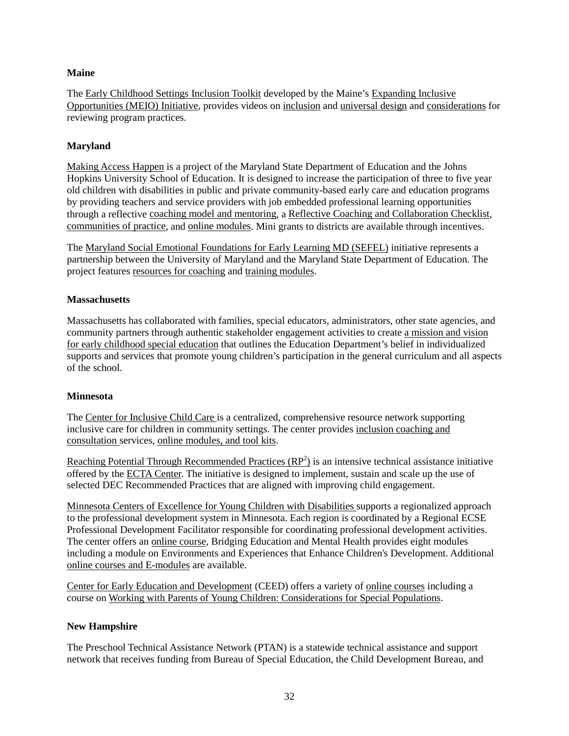# **Maine**

The [Early Childhood Settings Inclusion Toolkit](http://umaine.edu/expandinclusiveopp/ec-settings-inclusion-toolkit/) developed by the Maine's [Expanding Inclusive](http://umaine.edu/expandinclusiveopp/ec-settings-inclusion-toolkit/)  [Opportunities \(MEIO\) Initiative,](http://umaine.edu/expandinclusiveopp/ec-settings-inclusion-toolkit/) provides videos on [inclusion](http://umaine.edu/expandinclusiveopp/what-is-inclusion/) and [universal design](http://umaine.edu/expandinclusiveopp/what-is-inclusion/) and [considerations](http://umaine.edu/expandinclusiveopp/inclusion-look/) for reviewing program practices.

# **Maryland**

[Making Access Happen](http://marylandlearninglinks.org/363438%23resource_678484) is a project of the Maryland State Department of Education and the Johns Hopkins University School of Education. It is designed to increase the participation of three to five year old children with disabilities in public and private community-based early care and education programs by providing teachers and service providers with job embedded professional learning opportunities through a reflective [coaching model and mentoring,](http://marylandlearninglinks.org/992) a [Reflective Coaching and Collaboration Checklist,](http://marylandlearninglinks.org/382216) [communities of practice,](http://marylandlearninglinks.org/213505) and [online modules.](http://olms.cte.jhu.edu/olms2/3822) Mini grants to districts are available through incentives.

The [Maryland Social Emotional Foundations for Early Learning MD \(SEFEL\)](https://theinstitute.umaryland.edu/sefel/index.cfm) initiative represents a partnership between the University of Maryland and the Maryland State Department of Education. The project features [resources for coaching](https://theinstitute.umaryland.edu/sefel/trainers-coaches/index.cfm) and [training modules.](https://theinstitute.umaryland.edu/onlineTraining/programCategory.cfm?ottype_id=15)

# **Massachusetts**

Massachusetts has collaborated with families, special educators, administrators, other state agencies, and community partners through authentic stakeholder engagement activities to create [a mission and vision](http://www.doe.mass.edu/sped/ecse/mission.html)  [for early childhood special education](http://www.doe.mass.edu/sped/ecse/mission.html) that outlines the Education Department's belief in individualized supports and services that promote young children's participation in the general curriculum and all aspects of the school.

#### **Minnesota**

The [Center for Inclusive Child Care](http://www.inclusivechildcare.org/c_about.cfm) is a centralized, comprehensive resource network supporting inclusive care for children in community settings. The center provides [inclusion coaching and](http://www.inclusivechildcare.org/c_inclusion.cfm)  [consultation](http://www.inclusivechildcare.org/c_inclusion.cfm) services, [online modules, and tool kits.](http://www.inclusivechildcare.org/c_learning.cfm)

Reaching Potential Through Recommended Practices  $(RP^2)$  is an intensive technical assistance initiative offered by the [ECTA Center.](http://ectacenter.org/) The initiative is designed to implement, sustain and scale up the use of selected DEC Recommended Practices that are aligned with improving child engagement.

[Minnesota Centers of Excellence for Young Children with Disabilities](http://mncoe.org/home/) supports a regionalized approach to the professional development system in Minnesota. Each region is coordinated by a Regional ECSE Professional Development Facilitator responsible for coordinating professional development activities. The center offers an [online course,](http://www.cehd.umn.edu/CEED/onlinecourses/beam.html) Bridging Education and Mental Health provides eight modules including a module on Environments and Experiences that Enhance Children's Development. Additional [online courses and E-modules](http://mncoe.org/documents/category/e-modules-minnesota) are available.

[Center for Early Education and Development](http://www.cehd.umn.edu/CEED/) (CEED) offers a variety of [online courses](http://www.cehd.umn.edu/CEED/onlinecourses/default.html) including a course on [Working with Parents of Young Children: Considerations for Special](http://www.cehd.umn.edu/CEED/onlinecourses/workingwithparents.html) Populations.

#### **New Hampshire**

The Preschool Technical Assistance Network (PTAN) is a statewide technical assistance and support network that receives funding from Bureau of Special Education, the Child Development Bureau, and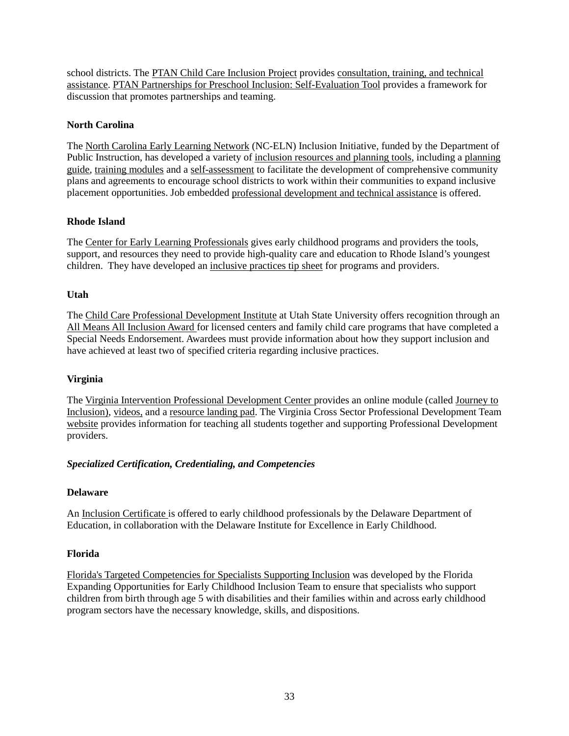school districts. The [PTAN Child Care Inclusion Project](http://ptan.seresc.net/blog/inclusive-child-care/ptan-childhood-inclusion-project/) provides [consultation, training, and technical](http://ptan.seresc.net/blog/inclusive-child-care/ptan-childhood-inclusion-project/)  [assistance.](http://ptan.seresc.net/blog/inclusive-child-care/ptan-childhood-inclusion-project/) [PTAN Partnerships for Preschool Inclusion: Self-Evaluation Tool](http://ptan.seresc.net/blog/wp-content/uploads/2010/02/SelfEvalTool.pdf) provides a framework for discussion that promotes partnerships and teaming.

# **North Carolina**

The [North Carolina Early Learning Network](http://nceln.fpg.unc.edu/) (NC-ELN) Inclusion Initiative, funded by the Department of Public Instruction, has developed a variety of [inclusion resources and planning tools,](http://nceln.fpg.unc.edu/inclusionresources) including a [planning](http://nceln.fpg.unc.edu/inclusionresources)  [guide,](http://nceln.fpg.unc.edu/inclusionresources) [training modules](http://modules.nceln.fpg.unc.edu/) and a [self-assessment](http://ptan.seresc.net/blog/wp-content/uploads/2010/02/SelfEvalTool.pdf) to facilitate the development of comprehensive community plans and agreements to encourage school districts to work within their communities to expand inclusive placement opportunities. Job embedded [professional development and technical assistance](http://nceln.fpg.unc.edu/resources-and-technical-assistance) is offered.

# **Rhode Island**

The [Center for Early Learning Professionals](http://center-elp.org/) gives early childhood programs and providers the tools, support, and resources they need to provide high-quality care and education to Rhode Island's youngest children. They have developed an [inclusive practices tip sheet](http://center-elp.org/wp-content/uploads/2015/03/Exceed-Tip-Sheet_Inclusive-Practices.pdf) for programs and providers.

# **Utah**

The [Child Care Professional Development Institute](http://ccpdi.usu.edu/) at Utah State University offers recognition through an [All Means All Inclusion Award](http://ccpdi.usu.edu/htm/all-means-all-award) for licensed centers and family child care programs that have completed a Special Needs Endorsement. Awardees must provide information about how they support inclusion and have achieved at least two of specified criteria regarding inclusive practices.

#### **Virginia**

Th[e Virginia Intervention Professional Development Center](http://www.veipd.org/main/index.html) provides an online module (called [Journey to](http://www.veipd.org/elearning/)  [Inclusion\)](http://www.veipd.org/elearning/), [videos,](http://www.veipd.org/main/videos.html) and a [resource landing pad.](http://www.veipd.org/main/html/landingpads/inclusion_landingpad.html) The Virginia Cross Sector Professional Development Team [website](http://www.vcpd.net/) provides information for teaching all students together and supporting Professional Development providers.

# *Specialized Certification, Credentialing, and Competencies*

#### **Delaware**

An [Inclusion Certificate](https://dieecpd.org/early-childhood-credentials) is offered to early childhood professionals by the Delaware Department of Education, in collaboration with the Delaware Institute for Excellence in Early Childhood.

# **Florida**

[Florida's Targeted Competencies for Specialists Supporting Inclusion](http://ectacenter.org/%7Epdfs/calls/2012/pd/fl_targeted_competencies_draft.pdf) was developed by the Florida Expanding Opportunities for Early Childhood Inclusion Team to ensure that specialists who support children from birth through age 5 with disabilities and their families within and across early childhood program sectors have the necessary knowledge, skills, and dispositions.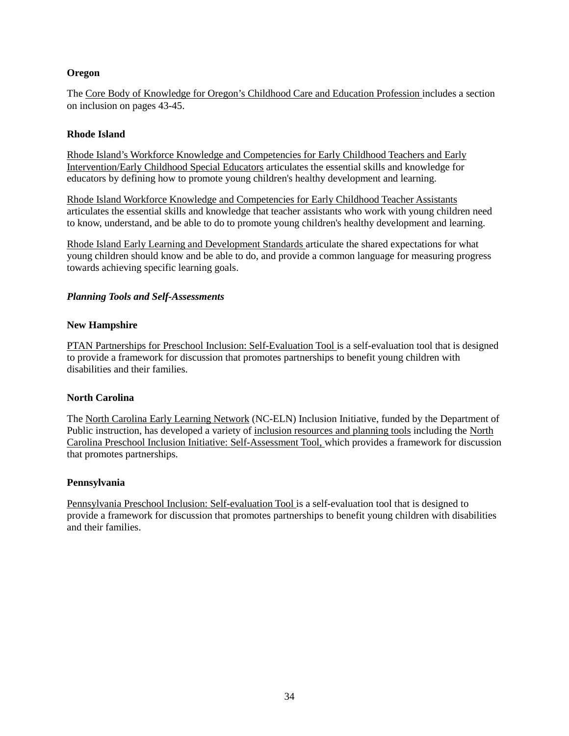#### **Oregon**

The [Core Body of Knowledge for Oregon's Childhood Care and Education Profession](http://www.pdx.edu/occd/sites/www.pdx.edu.occd/files/Core%20Body%20of%20Knowledge%20-%20English.pdf) includes a section on inclusion on pages 43-45.

#### **Rhode Island**

[Rhode Island's Workforce Knowledge and Competencies for Early Childhood Teachers and Early](http://www.ride.ri.gov/Portals/0/Uploads/Documents/Instruction-and-Assessment-World-Class-Standards/Early-Childhood/Workforce/WKC_FINAL_TEACHERS_EI_SPED.pdf)  [Intervention/Early Childhood Special Educators](http://www.ride.ri.gov/Portals/0/Uploads/Documents/Instruction-and-Assessment-World-Class-Standards/Early-Childhood/Workforce/WKC_FINAL_TEACHERS_EI_SPED.pdf) articulates the essential skills and knowledge for educators by defining how to promote young children's healthy development and learning.

[Rhode Island Workforce Knowledge and Competencies for Early Childhood Teacher Assistants](https://www.ride.ri.gov/Portals/0/Uploads/Documents/Instruction-and-Assessment-World-Class-Standards/Early-Childhood/Workforce/WKC_FINAL_TA.pdf) articulates the essential skills and knowledge that teacher assistants who work with young children need to know, understand, and be able to do to promote young children's healthy development and learning.

[Rhode Island Early Learning and Development Standards](http://earlylearningri.org/sites/default/files/images/2013%20Early%20Learning%20and%20Development%20Standards-%20Final.pdf) articulate the shared expectations for what young children should know and be able to do, and provide a common language for measuring progress towards achieving specific learning goals.

#### *Planning Tools and Self-Assessments*

#### **New Hampshire**

[PTAN Partnerships for Preschool Inclusion: Self-Evaluation Tool](http://ectacenter.org/%7Epdfs/calls/2009/sec619/nh_self_eval_tool.pdf) is a self-evaluation tool that is designed to provide a framework for discussion that promotes partnerships to benefit young children with disabilities and their families.

#### **North Carolina**

The [North Carolina Early Learning Network](http://nceln.fpg.unc.edu/) (NC-ELN) Inclusion Initiative, funded by the Department of Public instruction, has developed a variety of [inclusion resources and planning tools](http://nceln.fpg.unc.edu/inclusionresources) including the [North](http://nceln.fpg.unc.edu/sites/nceln.fpg.unc.edu/files/resources/NC_Preschool_Self_Assessment_tool.pdf)  [Carolina Preschool Inclusion Initiative: Self-Assessment Tool,](http://nceln.fpg.unc.edu/sites/nceln.fpg.unc.edu/files/resources/NC_Preschool_Self_Assessment_tool.pdf) which provides a framework for discussion that promotes partnerships.

#### **Pennsylvania**

[Pennsylvania Preschool Inclusion: Self-evaluation Tool](http://ectacenter.org/%7Epdfs/topics/inclusion/PAPreschoolInclusionSelf_EvaluationFinal_7_13.pdf) is a self-evaluation tool that is designed to provide a framework for discussion that promotes partnerships to benefit young children with disabilities and their families.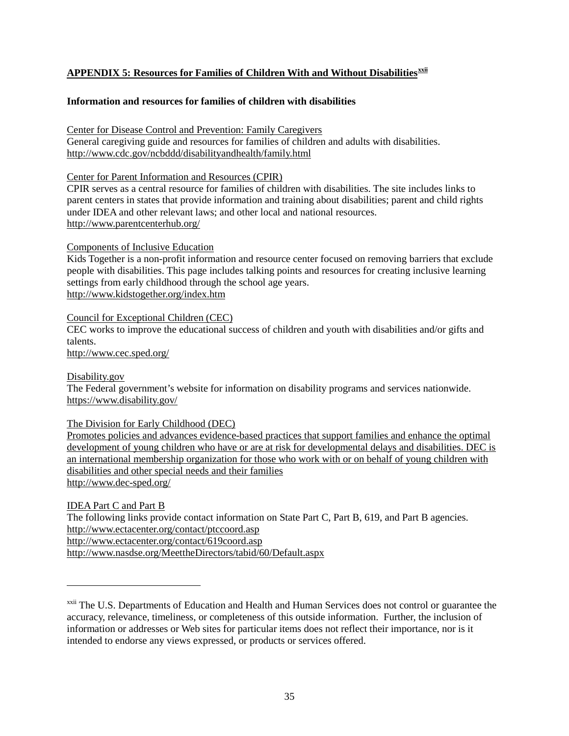# **APPENDIX 5: Resources for Families of Children With and Without Disabilities[xxii](#page-29-0)**

# **Information and resources for families of children with disabilities**

Center for Disease Control and Prevention: Family Caregivers General caregiving guide and resources for families of children and adults with disabilities. <http://www.cdc.gov/ncbddd/disabilityandhealth/family.html>

Center for Parent Information and Resources (CPIR)

CPIR serves as a central resource for families of children with disabilities. The site includes links to parent centers in states that provide information and training about disabilities; parent and child rights under IDEA and other relevant laws; and other local and national resources. <http://www.parentcenterhub.org/>

Components of Inclusive Education

Kids Together is a non-profit information and resource center focused on removing barriers that exclude people with disabilities. This page includes talking points and resources for creating inclusive learning settings from early childhood through the school age years. <http://www.kidstogether.org/index.htm>

Council for Exceptional Children (CEC)

CEC works to improve the educational success of children and youth with disabilities and/or gifts and talents.

<http://www.cec.sped.org/>

Disability.gov

 $\overline{a}$ 

The Federal government's website for information on disability programs and services nationwide. <https://www.disability.gov/>

The Division for Early Childhood (DEC)

Promotes policies and advances evidence-based practices that support families and enhance the optimal development of young children who have or are at risk for developmental delays and disabilities. DEC is an international membership organization for those who work with or on behalf of young children with disabilities and other special needs and their families <http://www.dec-sped.org/>

IDEA Part C and Part B The following links provide contact information on State Part C, Part B, 619, and Part B agencies. <http://www.ectacenter.org/contact/ptccoord.asp> <http://www.ectacenter.org/contact/619coord.asp> <http://www.nasdse.org/MeettheDirectors/tabid/60/Default.aspx>

<span id="page-29-0"></span><sup>&</sup>lt;sup>xxii</sup> The U.S. Departments of Education and Health and Human Services does not control or guarantee the accuracy, relevance, timeliness, or completeness of this outside information. Further, the inclusion of information or addresses or Web sites for particular items does not reflect their importance, nor is it intended to endorse any views expressed, or products or services offered.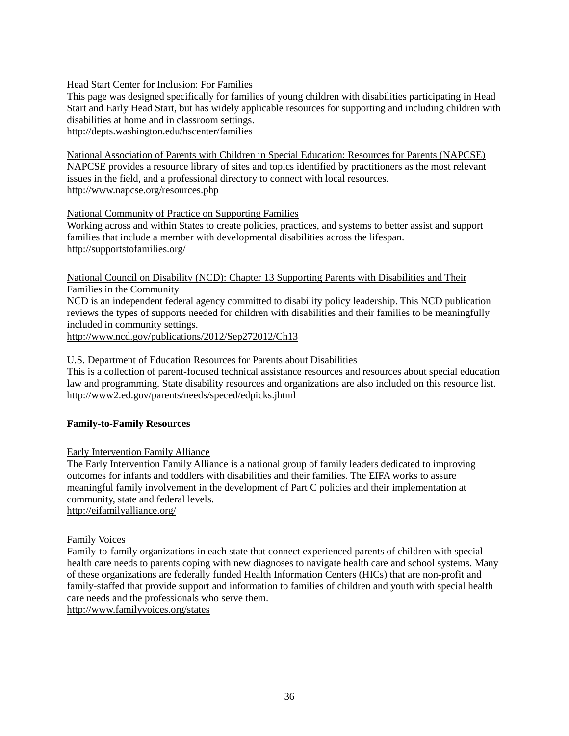Head Start Center for Inclusion: For Families

This page was designed specifically for families of young children with disabilities participating in Head Start and Early Head Start, but has widely applicable resources for supporting and including children with disabilities at home and in classroom settings.

<http://depts.washington.edu/hscenter/families>

National Association of Parents with Children in Special Education: Resources for Parents (NAPCSE) NAPCSE provides a resource library of sites and topics identified by practitioners as the most relevant issues in the field, and a professional directory to connect with local resources. <http://www.napcse.org/resources.php>

National Community of Practice on Supporting Families

Working across and within States to create policies, practices, and systems to better assist and support families that include a member with developmental disabilities across the lifespan. <http://supportstofamilies.org/>

National Council on Disability (NCD): Chapter 13 Supporting Parents with Disabilities and Their Families in the Community

NCD is an independent federal agency committed to disability policy leadership. This NCD publication reviews the types of supports needed for children with disabilities and their families to be meaningfully included in community settings.

<http://www.ncd.gov/publications/2012/Sep272012/Ch13>

#### U.S. Department of Education Resources for Parents about Disabilities

This is a collection of parent-focused technical assistance resources and resources about special education law and programming. State disability resources and organizations are also included on this resource list. <http://www2.ed.gov/parents/needs/speced/edpicks.jhtml>

# **Family-to-Family Resources**

#### Early Intervention Family Alliance

The Early Intervention Family Alliance is a national group of family leaders dedicated to improving outcomes for infants and toddlers with disabilities and their families. The EIFA works to assure meaningful family involvement in the development of Part C policies and their implementation at community, state and federal levels.

<http://eifamilyalliance.org/>

# Family Voices

Family-to-family organizations in each state that connect experienced parents of children with special health care needs to parents coping with new diagnoses to navigate health care and school systems. Many of these organizations are federally funded Health Information Centers (HICs) that are non-profit and family-staffed that provide support and information to families of children and youth with special health care needs and the professionals who serve them.

<http://www.familyvoices.org/states>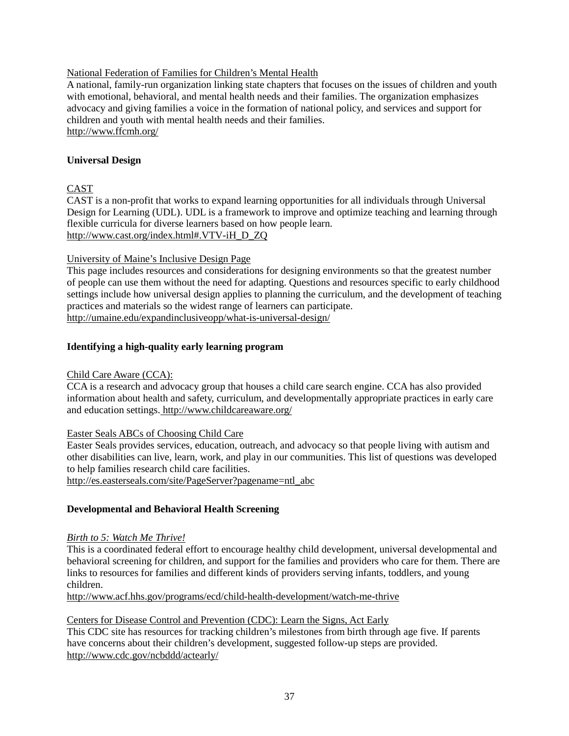# National Federation of Families for Children's Mental Health

A national, family-run organization linking state chapters that focuses on the issues of children and youth with emotional, behavioral, and mental health needs and their families. The organization emphasizes advocacy and giving families a voice in the formation of national policy, and services and support for children and youth with mental health needs and their families. <http://www.ffcmh.org/>

#### **Universal Design**

# CAST

CAST is a non-profit that works to expand learning opportunities for all individuals through Universal Design for Learning (UDL). UDL is a framework to improve and optimize teaching and learning through flexible curricula for diverse learners based on how people learn. [http://www.cast.org/index.html#.VTV-iH\\_D\\_ZQ](http://www.cast.org/index.html%23.VTV-iH_D_ZQ)

#### University of Maine's Inclusive Design Page

This page includes resources and considerations for designing environments so that the greatest number of people can use them without the need for adapting. Questions and resources specific to early childhood settings include how universal design applies to planning the curriculum, and the development of teaching practices and materials so the widest range of learners can participate. <http://umaine.edu/expandinclusiveopp/what-is-universal-design/>

#### **Identifying a high-quality early learning program**

#### Child Care Aware (CCA):

CCA is a research and advocacy group that houses a child care search engine. CCA has also provided information about health and safety, curriculum, and developmentally appropriate practices in early care and education settings. <http://www.childcareaware.org/>

#### Easter Seals ABCs of Choosing Child Care

Easter Seals provides services, education, outreach, and advocacy so that people living with autism and other disabilities can live, learn, work, and play in our communities. This list of questions was developed to help families research child care facilities.

[http://es.easterseals.com/site/PageServer?pagename=ntl\\_abc](http://es.easterseals.com/site/PageServer?pagename=ntl_abc)

#### **Developmental and Behavioral Health Screening**

#### *Birth to 5: Watch Me Thrive!*

This is a coordinated federal effort to encourage healthy child development, universal developmental and behavioral screening for children, and support for the families and providers who care for them. There are links to resources for families and different kinds of providers serving infants, toddlers, and young children.

<http://www.acf.hhs.gov/programs/ecd/child-health-development/watch-me-thrive>

#### Centers for Disease Control and Prevention (CDC): Learn the Signs, Act Early

This CDC site has resources for tracking children's milestones from birth through age five. If parents have concerns about their children's development, suggested follow-up steps are provided. <http://www.cdc.gov/ncbddd/actearly/>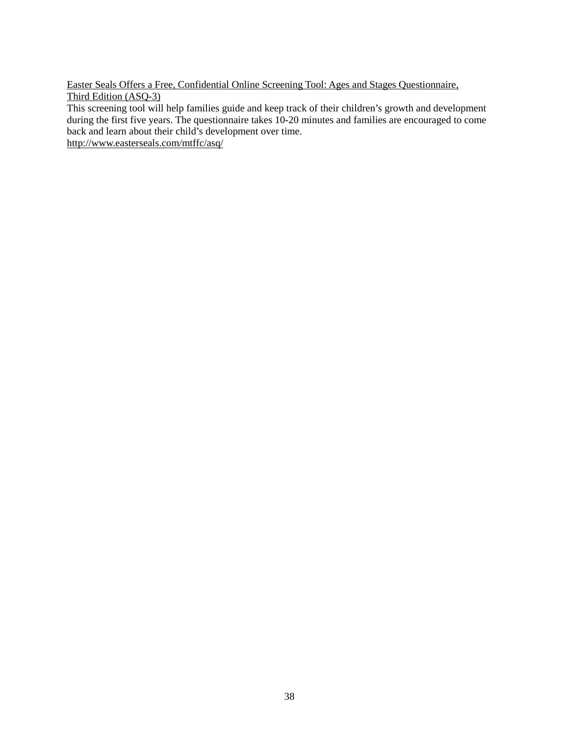Easter Seals Offers a Free, Confidential Online Screening Tool: Ages and Stages Questionnaire, Third Edition (ASQ-3)

This screening tool will help families guide and keep track of their children's growth and development during the first five years. The questionnaire takes 10-20 minutes and families are encouraged to come back and learn about their child's development over time.

http://www.easterseals.com/mtffc/asq/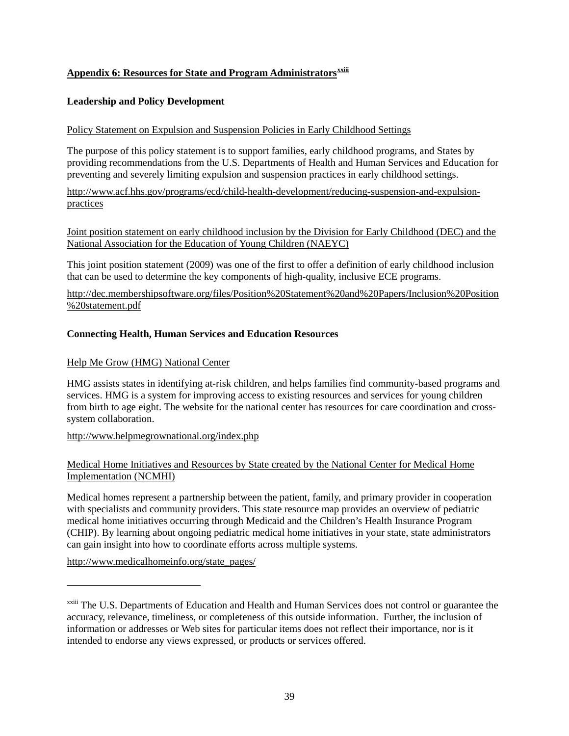# **Appendix 6: Resources for State and Program Administratorsxxiii**

#### **Leadership and Policy Development**

#### Policy Statement on Expulsion and Suspension Policies in Early Childhood Settings

The purpose of this policy statement is to support families, early childhood programs, and States by providing recommendations from the U.S. Departments of Health and Human Services and Education for preventing and severely limiting expulsion and suspension practices in early childhood settings.

http://www.acf.hhs.gov/programs/ecd/child-health-development/reducing-suspension-and-expulsionpractices

Joint position statement on early childhood inclusion by the Division for Early Childhood (DEC) and the National Association for the Education of Young Children (NAEYC)

This joint position statement (2009) was one of the first to offer a definition of early childhood inclusion that can be used to determine the key components of high-quality, inclusive ECE programs.

[http://dec.membershipsoftware.org/files/Position%20Statement%20and%20Papers/Inclusion%20Position](http://dec.membershipsoftware.org/files/Position%20Statement%20and%20Papers/Inclusion%20Position%20statement.pdf) [%20statement.pdf](http://dec.membershipsoftware.org/files/Position%20Statement%20and%20Papers/Inclusion%20Position%20statement.pdf)

#### **Connecting Health, Human Services and Education Resources**

#### Help Me Grow (HMG) National Center

HMG assists states in identifying at-risk children, and helps families find community-based programs and services. HMG is a system for improving access to existing resources and services for young children from birth to age eight. The website for the national center has resources for care coordination and crosssystem collaboration.

<http://www.helpmegrownational.org/index.php>

#### Medical Home Initiatives and Resources by State created by the National Center for Medical Home Implementation (NCMHI)

Medical homes represent a partnership between the patient, family, and primary provider in cooperation with specialists and community providers. This state resource map provides an overview of pediatric medical home initiatives occurring through Medicaid and the Children's Health Insurance Program (CHIP). By learning about ongoing pediatric medical home initiatives in your state, state administrators can gain insight into how to coordinate efforts across multiple systems.

[http://www.medicalhomeinfo.org/state\\_pages/](http://www.medicalhomeinfo.org/state_pages/)

 $\overline{a}$ 

xxiii The U.S. Departments of Education and Health and Human Services does not control or guarantee the accuracy, relevance, timeliness, or completeness of this outside information. Further, the inclusion of information or addresses or Web sites for particular items does not reflect their importance, nor is it intended to endorse any views expressed, or products or services offered.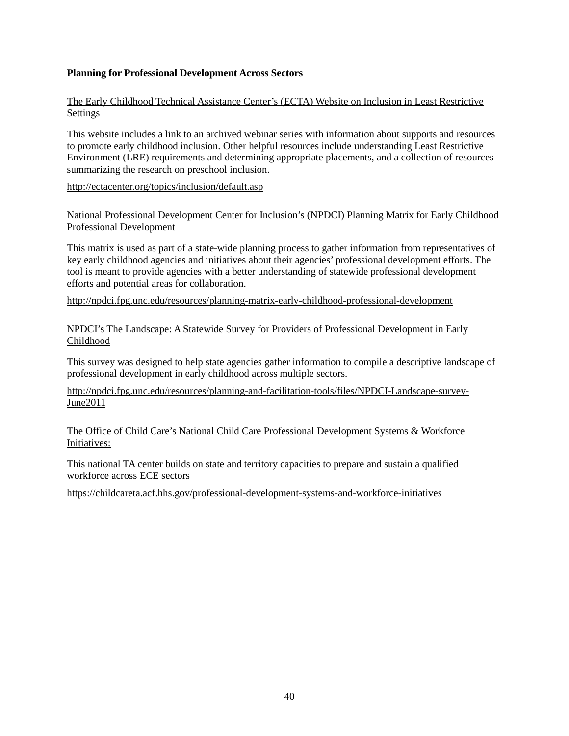#### **Planning for Professional Development Across Sectors**

#### The Early Childhood Technical Assistance Center's (ECTA) Website on Inclusion in Least Restrictive Settings

This website includes a link to an archived webinar series with information about supports and resources to promote early childhood inclusion. Other helpful resources include understanding Least Restrictive Environment (LRE) requirements and determining appropriate placements, and a collection of resources summarizing the research on preschool inclusion.

<http://ectacenter.org/topics/inclusion/default.asp>

#### National Professional Development Center for Inclusion's (NPDCI) Planning Matrix for Early Childhood Professional Development

This matrix is used as part of a state-wide planning process to gather information from representatives of key early childhood agencies and initiatives about their agencies' professional development efforts. The tool is meant to provide agencies with a better understanding of statewide professional development efforts and potential areas for collaboration.

<http://npdci.fpg.unc.edu/resources/planning-matrix-early-childhood-professional-development>

NPDCI's The Landscape: A Statewide Survey for Providers of Professional Development in Early Childhood

This survey was designed to help state agencies gather information to compile a descriptive landscape of professional development in early childhood across multiple sectors.

[http://npdci.fpg.unc.edu/resources/planning-and-facilitation-tools/files/NPDCI-Landscape-survey-](http://npdci.fpg.unc.edu/resources/planning-and-facilitation-tools/files/NPDCI-Landscape-survey-June2011)[June2011](http://npdci.fpg.unc.edu/resources/planning-and-facilitation-tools/files/NPDCI-Landscape-survey-June2011)

The Office of Child Care's National Child Care Professional Development Systems & Workforce Initiatives:

This national TA center builds on state and territory capacities to prepare and sustain a qualified workforce across ECE sectors

<https://childcareta.acf.hhs.gov/professional-development-systems-and-workforce-initiatives>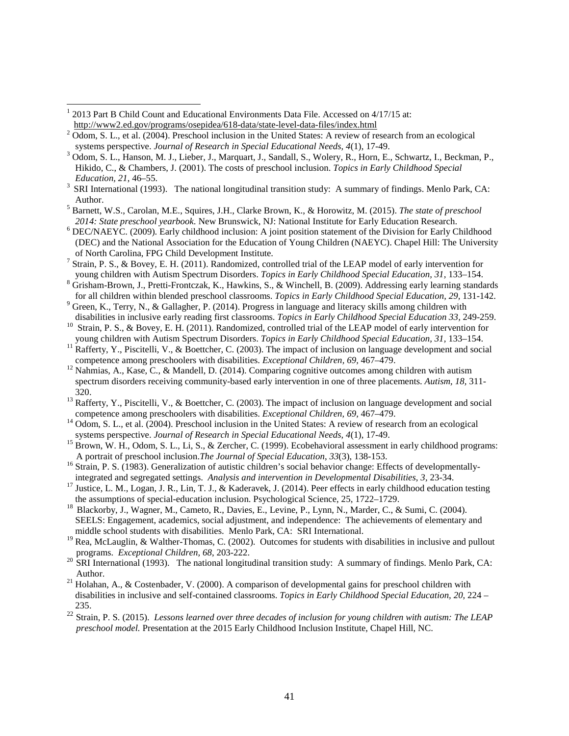- <span id="page-35-1"></span><span id="page-35-0"></span> $\frac{\text{http://www2.edu.gov/programs/osepidea/618-data-state-level-data-files/index.html}}{\text{Odom, S. L., et al. (2004). Preschool inclusion in the United States: A review of research from an ecological systems perspective. *Journal of Research in Special Educational needs*, 4(1), 17-49.$
- <span id="page-35-2"></span><sup>3</sup> Odom, S. L., Hanson, M. J., Lieber, J., Marquart, J., Sandall, S., Wolery, R., Horn, E., Schwartz, I., Beckman, P., Hikido, C., & Chambers, J. (2001). The costs of preschool inclusion. *Topics in Early Childhood Special*

- <span id="page-35-6"></span>of North Carolina, FPG Child Development Institute.<br><sup>7</sup> Strain, P. S., & Bovey, E. H. (2011). Randomized, controlled trial of the LEAP model of early intervention for<br>young children with Autism Spectrum Disorders. *Topics*
- <span id="page-35-7"></span> ${}^8$  Grisham-Brown, J., Pretti-Frontczak, K., Hawkins, S., & Winchell, B. (2009). Addressing early learning standards for all children within blended preschool classrooms. Topics in Early Childhood Special Education, 29,
- <span id="page-35-8"></span><sup>9</sup> Green, K., Terry, N., & Gallagher, P. (2014). Progress in language and literacy skills among children with disabilities in inclusive early reading first classrooms. *Topics in Early Childhood Special Education 33*, 24
- <span id="page-35-9"></span><sup>10</sup> Strain, P. S., & Bovey, E. H. (2011). Randomized, controlled trial of the LEAP model of early intervention for<br>young children with Autism Spectrum Disorders. *Topics in Early Childhood Special Education*, 31, 133–154.
- <span id="page-35-10"></span><sup>11</sup> Rafferty, Y., Piscitelli, V., & Boettcher, C. (2003). The impact of inclusion on language development and social<br>competence among preschoolers with disabilities. *Exceptional Children*, 69, 467–479.
- <sup>12</sup> Nahmias, A., Kase, C., & Mandell, D. (2014). Comparing cognitive outcomes among children with autism spectrum disorders receiving community-based early intervention in one of three placements. *Autism, 18,* 311-
- 320. 13 Rafferty, Y., Piscitelli, V., & Boettcher, C. (2003). The impact of inclusion on language development and social competence among preschoolers with disabilities. *Exceptional Children*, 69, 467–479.
- <sup>14</sup> Odom, S. L., et al. (2004). Preschool inclusion in the United States: A review of research from an ecological systems perspective. *Journal of Research in Special Educational Needs*, 4(1), 17-49.
- <sup>15</sup> Brown, W. H., Odom, S. L., Li, S., & Zercher, C. (1999). Ecobehavioral assessment in early childhood programs:<br>A portrait of preschool inclusion.*The Journal of Special Education*, 33(3), 138-153.
- <sup>16</sup> Strain, P. S. (1983). Generalization of autistic children's social behavior change: Effects of developmentally-<br>integrated and segregated settings. *Analysis and intervention in Developmental Disabilities*, 3, 23-34.
- <sup>17</sup> Justice, L. M., Logan, J. R., Lin, T. J., & Kaderavek, J. (2014). Peer effects in early childhood education testing<br>the assumptions of special-education inclusion. Psychological Science, 25, 1722–1729.
- <sup>18</sup> Blackorby, J., Wagner, M., Cameto, R., Davies, E., Levine, P., Lynn, N., Marder, C., & Sumi, C. (2004). SEELS: Engagement, academics, social adjustment, and independence: The achievements of elementary and middle school students with disabilities. Menlo Park, CA: SRI International.
- <sup>19</sup> Rea, McLauglin, & Walther-Thomas, C. (2002). Outcomes for students with disabilities in inclusive and pullout programs. *Exceptional Children*, 68, 203-222.
- programs. *Exceptional Children, 68*, 203-222. 20 SRI International (1993). The national longitudinal transition study: A summary of findings. Menlo Park, CA:
- Author. <sup>21</sup> Holahan, A., & Costenbader, V. (2000). A comparison of developmental gains for preschool children with disabilities in inclusive and self-contained classrooms. *Topics in Early Childhood Special Education*, 20, 224 – 235.
- <sup>22</sup> Strain, P. S. (2015). *Lessons learned over three decades of inclusion for young children with autism: The LEAP preschool model.* Presentation at the 2015 Early Childhood Inclusion Institute, Chapel Hill, NC.

 $1$  2013 Part B Child Count and Educational Environments Data File. Accessed on 4/17/15 at:  $\overline{a}$ 

<span id="page-35-3"></span>*Education, 21*, 46–55. 3 SRI International (1993). The national longitudinal transition study: A summary of findings. Menlo Park, CA:

<span id="page-35-4"></span>Author. <sup>5</sup> Barnett, W.S., Carolan, M.E., Squires, J.H., Clarke Brown, K., & Horowitz, M. (2015). *The state of preschool* 

<span id="page-35-5"></span>*<sup>2014:</sup> State preschool yearbook*. New Brunswick, NJ: National Institute for Early Education Research. <sup>6</sup> DEC/NAEYC. (2009). Early childhood inclusion: A joint position statement of the Division for Early Childhood (DEC) and the National Association for the Education of Young Children (NAEYC). Chapel Hill: The University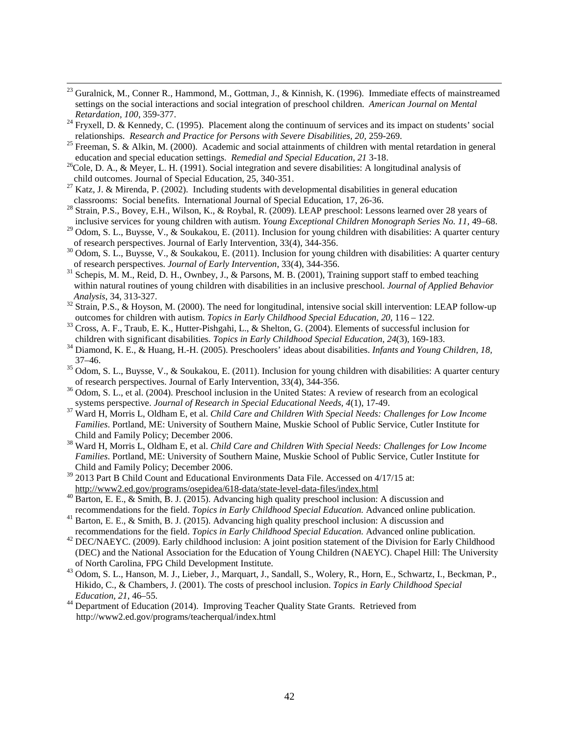- <span id="page-36-11"></span> $^{23}$  Guralnick, M., Conner R., Hammond, M., Gottman, J., & Kinnish, K. (1996). Immediate effects of mainstreamed settings on the social interactions and social integration of preschool children. *American Journal on Mental*
- <span id="page-36-12"></span>*Retardation, 100, 359-377.*<br><sup>24</sup> Fryxell, D. & Kennedy, C. (1995). Placement along the continuum of services and its impact on students' social relationships. *Research and Practice for Persons with Severe Disabilities, 2*
- <span id="page-36-13"></span><sup>25</sup> Freeman, S. & Alkin, M. (2000). Academic and social attainments of children with mental retardation in general
- <span id="page-36-14"></span>education and special education settings. *Remedial and Special Education*, 21 3-18.<br><sup>26</sup>Cole, D. A., & Meyer, L. H. (1991). Social integration and severe disabilities: A longitudinal analysis of child outcomes. Journal of

-

- <span id="page-36-15"></span><sup>27</sup> Katz, J. & Mirenda, P. (2002). Including students with developmental disabilities in general education classrooms: Social benefits. International Journal of Special Education, 17, 26-36.
- <span id="page-36-16"></span>classrooms: Social benefits. International Journal of Special Education, 17, 26, 26. 28. 28. 28. 28. 28 Strain, P.S., Bovey, E.H., Wilson, K., & Roybal, R. (2009). LEAP preschool: Lessons learned over 28 years of inclusive services for young children with autism. *Young Exceptional Children Monograph Series No. 11*, 49–68.
- <span id="page-36-17"></span>29 Odom, S. L., Buysse, V., & Soukakou, E. (2011). Inclusion for young children with disabilities: A quarter century of research perspectives. Journal of Early Intervention, 33(4), 344-356.
- <span id="page-36-18"></span>of research perspectives. V., & Soukakou, E. (2011). Inclusion for young children with disabilities: A quarter century of research perspectives. Journal of Early Intervention, 33(4), 344-356.
- <span id="page-36-19"></span><sup>31</sup> Schepis, M. M., Reid, D. H., Ownbey, J., & Parsons, M. B. (2001), Training support staff to embed teaching within natural routines of young children with disabilities in an inclusive preschool. *Journal of Applied Behavior*
- <span id="page-36-20"></span><sup>32</sup> Strain, P.S., & Hoyson, M. (2000). The need for longitudinal, intensive social skill intervention: LEAP follow-up outcomes for children with autism. *Topics in Early Childhood Special Education*, 20, 116 – 122.
- <span id="page-36-21"></span>outcomes for children with autom. *To pics in Early Childhood Special Education*, 24(3), 169-183.<br><sup>33</sup> Cross, A. F., Traub, E. K., Hutter-Pishgahi, L., & Shelton, G. (2004). Elements of successful inclusion for children wi
- <span id="page-36-22"></span><sup>34</sup> Diamond, K. E., & Huang, H.-H. (2005). Preschoolers' ideas about disabilities. *Infants and Young Children*, 18,<br>37–46.
- <span id="page-36-23"></span><span id="page-36-0"></span><sup>35</sup> Odom, S. L., Buysse, V., & Soukakou, E. (2011). Inclusion for young children with disabilities: A quarter century of research perspectives. Journal of Early Intervention, 33(4), 344-356.
- <span id="page-36-24"></span>of research perspectives. Journal of Early Intervention,  $\frac{1}{2}$ ,  $\frac{1}{2}$ ,  $\frac{1}{2}$ ,  $\frac{1}{2}$ ,  $\frac{1}{2}$ ,  $\frac{1}{2}$ ,  $\frac{1}{2}$ ,  $\frac{1}{2}$ ,  $\frac{1}{2}$ ,  $\frac{1}{2}$ ,  $\frac{1}{2}$ ,  $\frac{1}{2}$ ,  $\frac{1}{2}$ ,  $\frac{1}{2}$ ,  $\frac{1}{2}$ ,
- <span id="page-36-25"></span><span id="page-36-2"></span><span id="page-36-1"></span>systems perspective. *Journal of Research in Special Educational Needs, 4*(1), 17-49. <sup>37</sup> Ward H, Morris L, Oldham E, et al. *[Child Care and Children With Special Needs: Challenges for Low Income](http://muskie.usm.maine.edu/Publications/CYF/Children-With-Special-Needs-Challenges-for-Low-Income-Families.pdf)  [Families](http://muskie.usm.maine.edu/Publications/CYF/Children-With-Special-Needs-Challenges-for-Low-Income-Families.pdf)*. Portland, ME: University of Southern Maine, Muskie School of Public Service, Cutler Institute for
- <span id="page-36-3"></span>Child and Family Policy; December 2006. <sup>38</sup> Ward H, Morris L, Oldham E, et al. *[Child Care and Children With Special Needs: Challenges for Low Income](http://muskie.usm.maine.edu/Publications/CYF/Children-With-Special-Needs-Challenges-for-Low-Income-Families.pdf)  [Families](http://muskie.usm.maine.edu/Publications/CYF/Children-With-Special-Needs-Challenges-for-Low-Income-Families.pdf)*. Portland, ME: University of Southern Maine, Muskie School of Public Service, Cutler Institute for Child and Family Policy; December 2006.
- <span id="page-36-4"></span> $39$  2013 Part B Child Count and Educational Environments Data File. Accessed on 4/17/15 at:<br>http://www2.ed.gov/programs/osepidea/618-data/state-level-data-files/index.html
- <span id="page-36-6"></span><span id="page-36-5"></span><sup>40</sup> Barton, E. E., & Smith, B. J. (2015). Advancing high quality preschool inclusion: A discussion and recommendations for the field. *Topics in Early Childhood Special Education*. Advanced online publication.
- Barton, E. E., & Smith, B. J. (2015). Advancing high quality preschool inclusion: A discussion and recommendations for the field. *Topics in Early Childhood Special Education*. Advanced online publication.
- <span id="page-36-7"></span><sup>42</sup> DEC/NAEYC. (2009). Early childhood inclusion: A joint position statement of the Division for Early Childhood (DEC) and the National Association for the Education of Young Children (NAEYC). Chapel Hill: The University
- <span id="page-36-9"></span><span id="page-36-8"></span><sup>43</sup> Odom, S. L., Hanson, M. J., Lieber, J., Marquart, J., Sandall, S., Wolery, R., Horn, E., Schwartz, I., Beckman, P., Hikido, C., & Chambers, J. (2001). The costs of preschool inclusion. *Topics in Early Childhood Special Education, 21*, 46–55. <sup>44</sup> Department of Education (2014). Improving Teacher Quality State Grants. Retrieved from
- <span id="page-36-10"></span>http://www2.ed.gov/programs/teacherqual/index.html